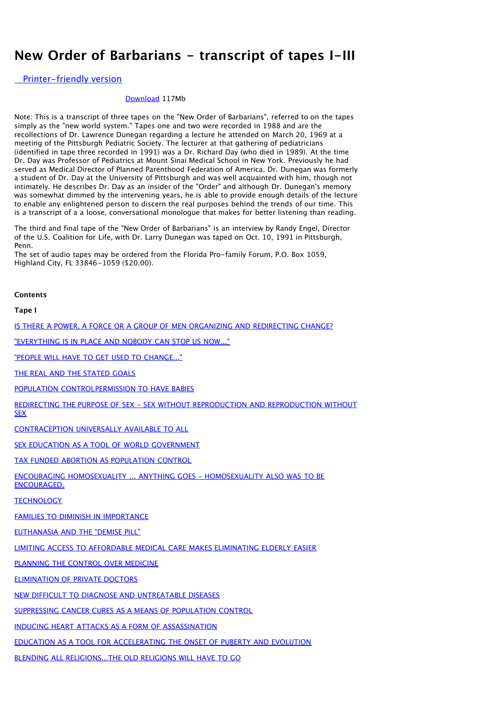# **New Order of Barbarians - transcript of tapes I-III**

[Printer-friendly version](https://100777.com/print/nwo/barbarians)

#### [Download](http://files.100777.com/New Order of Barbarians.mp3) 117Mb

Note: This is a transcript of three tapes on the "New Order of Barbarians", referred to on the tapes simply as the "new world system." Tapes one and two were recorded in 1988 and are the recollections of Dr. Lawrence Dunegan regarding a lecture he attended on March 20, 1969 at a meeting of the Pittsburgh Pediatric Society. The lecturer at that gathering of pediatricians (identified in tape three recorded in 1991) was a Dr. Richard Day (who died in 1989). At the time Dr. Day was Professor of Pediatrics at Mount Sinai Medical School in New York. Previously he had served as Medical Director of Planned Parenthood Federation of America. Dr. Dunegan was formerly a student of Dr. Day at the University of Pittsburgh and was well acquainted with him, though not intimately. He describes Dr. Day as an insider of the "Order" and although Dr. Dunegan's memory was somewhat dimmed by the intervening years, he is able to provide enough details of the lecture to enable any enlightened person to discern the real purposes behind the trends of our time. This is a transcript of a a loose, conversational monologue that makes for better listening than reading.

The third and final tape of the "New Order of Barbarians" is an interview by Randy Engel, Director of the U.S. Coalition for Life, with Dr. Larry Dunegan was taped on Oct. 10, 1991 in Pittsburgh, Penn.

The set of audio tapes may be ordered from the Florida Pro-family Forum, P.O. Box 1059, Highland City, FL 33846-1059 (\$20.00).

#### **Contents**

**Tape I**

[IS THERE A POWER, A FORCE OR A GROUP OF MEN ORGANIZING AND REDIRECTING CHANGE?](file:///node/19#1)

["EVERYTHING IS IN PLACE AND NOBODY CAN STOP US NOW..."](file:///node/19#2)

["PEOPLE WILL HAVE TO GET USED TO CHANGE..."](file:///node/19#3)

[THE REAL AND THE STATED GOALS](file:///node/19#4)

[POPULATION CONTROL](file:///node/19#5)[PERMISSION TO HAVE BABIES](file:///#196)

[REDIRECTING THE PURPOSE OF SEX - SEX WITHOUT REPRODUCTION AND REPRODUCTION WITHOUT](file:///node/19#7) **[SEX](file:///node/19#7)** 

[CONTRACEPTION UNIVERSALLY AVAILABLE TO ALL](file:///node/19#8)

[SEX EDUCATION AS A TOOL OF WORLD GOVERNMENT](file:///node/19#9)

[TAX FUNDED ABORTION AS POPULATION CONTROL](file:///node/19#10)

[ENCOURAGING HOMOSEXUALITY ... ANYTHING GOES - HOMOSEXUALITY ALSO WAS TO BE](file:///node/19#11) [ENCOURAGED.](file:///node/19#11)

**[TECHNOLOGY](file:///node/19#12)** 

[FAMILIES TO DIMINISH IN IMPORTANCE](file:///node/19#13)

[EUTHANASIA AND THE "DEMISE PILL"](file:///node/19#14)

[LIMITING ACCESS TO AFFORDABLE MEDICAL CARE MAKES ELIMINATING ELDERLY EASIER](file:///node/19#15)

[PLANNING THE CONTROL OVER MEDICINE](file:///node/19#16)

[ELIMINATION OF PRIVATE DOCTORS](file:///node/19#17)

[NEW DIFFICULT TO DIAGNOSE AND UNTREATABLE DISEASES](file:///node/19#18)

[SUPPRESSING CANCER CURES AS A MEANS OF POPULATION CONTROL](file:///node/19#19)

[INDUCING HEART ATTACKS AS A FORM OF ASSASSINATION](file:///node/19#20)

[EDUCATION AS A TOOL FOR ACCELERATING THE ONSET OF PUBERTY AND EVOLUTION](file:///#21)

[BLENDING ALL RELIGIONS...THE OLD RELIGIONS WILL HAVE TO GO](file:///node/19#22)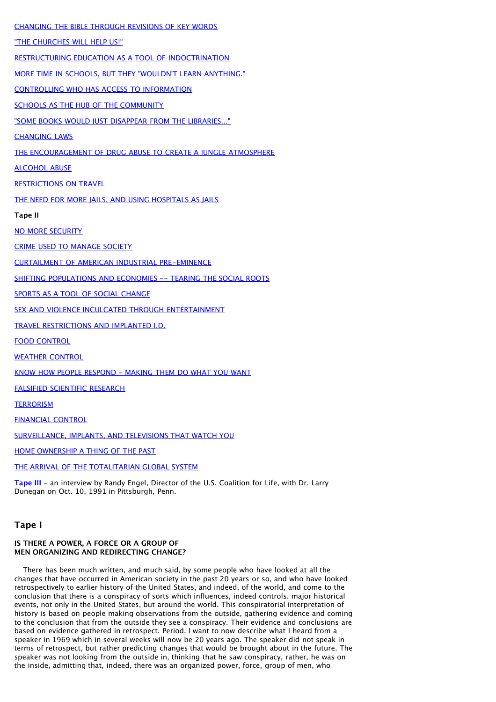[CHANGING THE BIBLE THROUGH REVISIONS OF KEY WORDS](file:///node/19#23) ["THE CHURCHES WILL HELP US!"](file:///node/19#24) [RESTRUCTURING EDUCATION AS A TOOL OF INDOCTRINATION](file:///node/19#25) [MORE TIME IN SCHOOLS, BUT THEY "WOULDN](file:///node/19#26)'T LEARN ANYTHING." [CONTROLLING WHO HAS ACCESS TO INFORMATION](file:///node/19#27) [SCHOOLS AS THE HUB OF THE COMMUNITY](file:///node/19#28) ["SOME BOOKS WOULD JUST DISAPPEAR FROM THE LIBRARIES..."](file:///node/19#29) [CHANGING LAWS](file:///node/19#30) [THE ENCOURAGEMENT OF DRUG ABUSE TO CREATE A JUNGLE ATMOSPHERE](file:///node/19#31) [ALCOHOL ABUSE](file:///node/19#32) [RESTRICTIONS ON TRAVEL](file:///node/19#33) [THE NEED FOR MORE JAILS, AND USING HOSPITALS AS JAILS](file:///node/19#34) **Tape II** [NO MORE SECURITY](file:///node/19#35) [CRIME USED TO MANAGE SOCIETY](file:///node/19#36) [CURTAILMENT OF AMERICAN INDUSTRIAL PRE-EMINENCE](file:///node/19#37) [SHIFTING POPULATIONS AND ECONOMIES -- TEARING THE SOCIAL ROOTS](file:///node/19#38) [SPORTS AS A TOOL OF SOCIAL CHANGE](file:///node/19#39) [SEX AND VIOLENCE INCULCATED THROUGH ENTERTAINMENT](file:///node/19#40) [TRAVEL RESTRICTIONS AND IMPLANTED I.D.](file:///node/19#41) [FOOD CONTROL](file:///node/19#42) [WEATHER CONTROL](file:///node/19#43) [KNOW HOW PEOPLE RESPOND - MAKING THEM DO WHAT YOU WANT](file:///node/19#44) [FALSIFIED SCIENTIFIC RESEARCH](file:///node/19#45) **[TERRORISM](file:///node/19#46)** [FINANCIAL CONTROL](file:///node/19#47) [SURVEILLANCE, IMPLANTS, AND TELEVISIONS THAT WATCH YOU](file:///node/19#48) [HOME OWNERSHIP A THING OF THE PAST](file:///node/19#49) [THE ARRIVAL OF THE TOTALITARIAN GLOBAL SYSTEM](file:///node/19#50)

**[Tape III](file:///node/19#tape3)** - an interview by Randy Engel, Director of the U.S. Coalition for Life, with Dr. Larry Dunegan on Oct. 10, 1991 in Pittsburgh, Penn.

## **Tape I**

#### **IS THERE A POWER, A FORCE OR A GROUP OF MEN ORGANIZING AND REDIRECTING CHANGE?**

 There has been much written, and much said, by some people who have looked at all the changes that have occurred in American society in the past 20 years or so, and who have looked retrospectively to earlier history of the United States, and indeed, of the world, and come to the conclusion that there is a conspiracy of sorts which influences, indeed controls. major historical events, not only in the United States, but around the world. This conspiratorial interpretation of history is based on people making observations from the outside, gathering evidence and coming to the conclusion that from the outside they see a conspiracy. Their evidence and conclusions are based on evidence gathered in retrospect. Period. I want to now describe what I heard from a speaker in 1969 which in several weeks will now be 20 years ago. The speaker did not speak in terms of retrospect, but rather predicting changes that would be brought about in the future. The speaker was not looking from the outside in, thinking that he saw conspiracy, rather, he was on the inside, admitting that, indeed, there was an organized power, force, group of men, who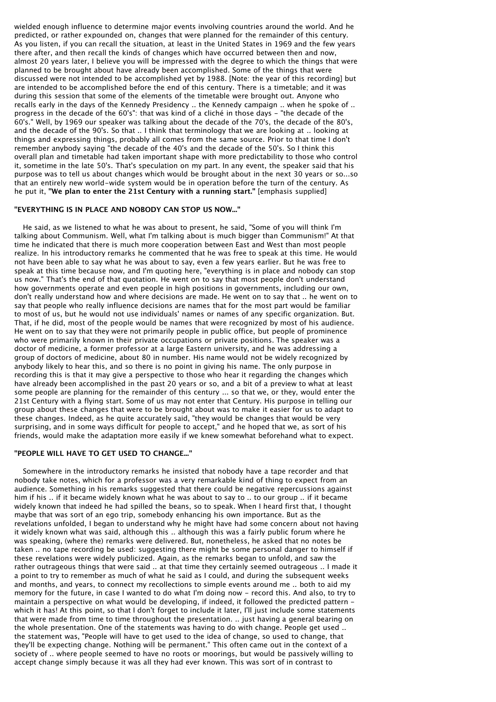wielded enough influence to determine major events involving countries around the world. And he predicted, or rather expounded on, changes that were planned for the remainder of this century. As you listen, if you can recall the situation, at least in the United States in 1969 and the few years there after, and then recall the kinds of changes which have occurred between then and now, almost 20 years later, I believe you will be impressed with the degree to which the things that were planned to be brought about have already been accomplished. Some of the things that were discussed were not intended to be accomplished yet by 1988. [Note: the year of this recording] but are intended to be accomplished before the end of this century. There is a timetable; and it was during this session that some of the elements of the timetable were brought out. Anyone who recalls early in the days of the Kennedy Presidency .. the Kennedy campaign .. when he spoke of .. progress in the decade of the 60's": that was kind of a cliché in those days - "the decade of the 60's." Well, by 1969 our speaker was talking about the decade of the 70's, the decade of the 80's, and the decade of the 90's. So that .. I think that terminology that we are looking at .. looking at things and expressing things, probably all comes from the same source. Prior to that time I don't remember anybody saying "the decade of the 40's and the decade of the 50's. So I think this overall plan and timetable had taken important shape with more predictability to those who control it, sometime in the late 50's. That's speculation on my part. In any event, the speaker said that his purpose was to tell us about changes which would be brought about in the next 30 years or so...so that an entirely new world-wide system would be in operation before the turn of the century. As he put it, **"We plan to enter the 21st Century with a running start."** [emphasis supplied]

#### **"EVERYTHING IS IN PLACE AND NOBODY CAN STOP US NOW..."**

 He said, as we listened to what he was about to present, he said, "Some of you will think I'm talking about Communism. Well, what I'm talking about is much bigger than Communism!" At that time he indicated that there is much more cooperation between East and West than most people realize. In his introductory remarks he commented that he was free to speak at this time. He would not have been able to say what he was about to say, even a few years earlier. But he was free to speak at this time because now, and I'm quoting here, "everything is in place and nobody can stop us now." That's the end of that quotation. He went on to say that most people don't understand how governments operate and even people in high positions in governments, including our own, don't really understand how and where decisions are made. He went on to say that .. he went on to say that people who really influence decisions are names that for the most part would be familiar to most of us, but he would not use individuals' names or names of any specific organization. But. That, if he did, most of the people would be names that were recognized by most of his audience. He went on to say that they were not primarily people in public office, but people of prominence who were primarily known in their private occupations or private positions. The speaker was a doctor of medicine, a former professor at a large Eastern university, and he was addressing a group of doctors of medicine, about 80 in number. His name would not be widely recognized by anybody likely to hear this, and so there is no point in giving his name. The only purpose in recording this is that it may give a perspective to those who hear it regarding the changes which have already been accomplished in the past 20 years or so, and a bit of a preview to what at least some people are planning for the remainder of this century ... so that we, or they, would enter the 21st Century with a flying start. Some of us may not enter that Century. His purpose in telling our group about these changes that were to be brought about was to make it easier for us to adapt to these changes. Indeed, as he quite accurately said, "they would be changes that would be very surprising, and in some ways difficult for people to accept," and he hoped that we, as sort of his friends, would make the adaptation more easily if we knew somewhat beforehand what to expect.

#### **"PEOPLE WILL HAVE TO GET USED TO CHANGE..."**

 Somewhere in the introductory remarks he insisted that nobody have a tape recorder and that nobody take notes, which for a professor was a very remarkable kind of thing to expect from an audience. Something in his remarks suggested that there could be negative repercussions against him if his .. if it became widely known what he was about to say to .. to our group .. if it became widely known that indeed he had spilled the beans, so to speak. When I heard first that, I thought maybe that was sort of an ego trip, somebody enhancing his own importance. But as the revelations unfolded, I began to understand why he might have had some concern about not having it widely known what was said, although this .. although this was a fairly public forum where he was speaking, (where the) remarks were delivered. But, nonetheless, he asked that no notes be taken .. no tape recording be used: suggesting there might be some personal danger to himself if these revelations were widely publicized. Again, as the remarks began to unfold, and saw the rather outrageous things that were said .. at that time they certainly seemed outrageous .. I made it a point to try to remember as much of what he said as I could, and during the subsequent weeks and months, and years, to connect my recollections to simple events around me .. both to aid my memory for the future, in case I wanted to do what I'm doing now - record this. And also, to try to maintain a perspective on what would be developing, if indeed, it followed the predicted pattern which it has! At this point, so that I don't forget to include it later, I'll just include some statements that were made from time to time throughout the presentation. .. just having a general bearing on the whole presentation. One of the statements was having to do with change. People get used .. the statement was, "People will have to get used to the idea of change, so used to change, that they'll be expecting change. Nothing will be permanent." This often came out in the context of a society of .. where people seemed to have no roots or moorings, but would be passively willing to accept change simply because it was all they had ever known. This was sort of in contrast to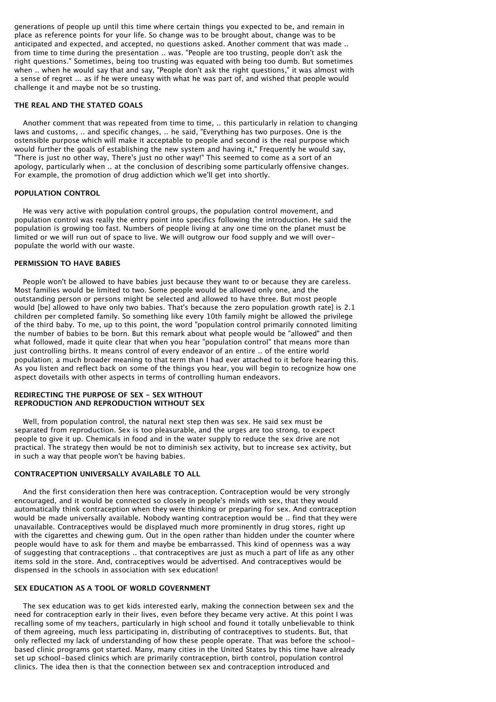generations of people up until this time where certain things you expected to be, and remain in place as reference points for your life. So change was to be brought about, change was to be anticipated and expected, and accepted, no questions asked. Another comment that was made .. from time to time during the presentation .. was. "People are too trusting, people don't ask the right questions." Sometimes, being too trusting was equated with being too dumb. But sometimes when .. when he would say that and say, "People don't ask the right questions," it was almost with a sense of regret ... as if he were uneasy with what he was part of, and wished that people would challenge it and maybe not be so trusting.

#### **THE REAL AND THE STATED GOALS**

 Another comment that was repeated from time to time, .. this particularly in relation to changing laws and customs, .. and specific changes, .. he said, "Everything has two purposes. One is the ostensible purpose which will make it acceptable to people and second is the real purpose which would further the goals of establishing the new system and having it," Frequently he would say, "There is just no other way, There's just no other way!" This seemed to come as a sort of an apology, particularly when .. at the conclusion of describing some particularly offensive changes. For example, the promotion of drug addiction which we'll get into shortly.

#### **POPULATION CONTROL**

 He was very active with population control groups, the population control movement, and population control was really the entry point into specifics following the introduction. He said the population is growing too fast. Numbers of people living at any one time on the planet must be limited or we will run out of space to live. We will outgrow our food supply and we will overpopulate the world with our waste.

#### **PERMISSION TO HAVE BABIES**

 People won't be allowed to have babies just because they want to or because they are careless. Most families would be limited to two. Some people would be allowed only one, and the outstanding person or persons might be selected and allowed to have three. But most people would [be] allowed to have only two babies. That's because the zero population growth rate] is 2.1 children per completed family. So something like every 10th family might be allowed the privilege of the third baby. To me, up to this point, the word "population control primarily connoted limiting the number of babies to be born. But this remark about what people would be "allowed" and then what followed, made it quite clear that when you hear "population control" that means more than just controlling births. It means control of every endeavor of an entire .. of the entire world population; a much broader meaning to that term than I had ever attached to it before hearing this. As you listen and reflect back on some of the things you hear, you will begin to recognize how one aspect dovetails with other aspects in terms of controlling human endeavors.

#### **REDIRECTING THE PURPOSE OF SEX - SEX WITHOUT REPRODUCTION AND REPRODUCTION WITHOUT SEX**

 Well, from population control, the natural next step then was sex. He said sex must be separated from reproduction. Sex is too pleasurable, and the urges are too strong, to expect people to give it up. Chemicals in food and in the water supply to reduce the sex drive are not practical. The strategy then would be not to diminish sex activity, but to increase sex activity, but in such a way that people won't be having babies.

#### **CONTRACEPTION UNIVERSALLY AVAILABLE TO ALL**

 And the first consideration then here was contraception. Contraception would be very strongly encouraged, and it would be connected so closely in people's minds with sex, that they would automatically think contraception when they were thinking or preparing for sex. And contraception would be made universally available. Nobody wanting contraception would be .. find that they were unavailable. Contraceptives would be displayed much more prominently in drug stores, right up with the cigarettes and chewing gum. Out in the open rather than hidden under the counter where people would have to ask for them and maybe be embarrassed. This kind of openness was a way of suggesting that contraceptions .. that contraceptives are just as much a part of life as any other items sold in the store. And, contraceptives would be advertised. And contraceptives would be dispensed in the schools in association with sex education!

#### **SEX EDUCATION AS A TOOL OF WORLD GOVERNMENT**

 The sex education was to get kids interested early, making the connection between sex and the need for contraception early in their lives, even before they became very active. At this point I was recalling some of my teachers, particularly in high school and found it totally unbelievable to think of them agreeing, much less participating in, distributing of contraceptives to students. But, that only reflected my lack of understanding of how these people operate. That was before the schoolbased clinic programs got started. Many, many cities in the United States by this time have already set up school-based clinics which are primarily contraception, birth control, population control clinics. The idea then is that the connection between sex and contraception introduced and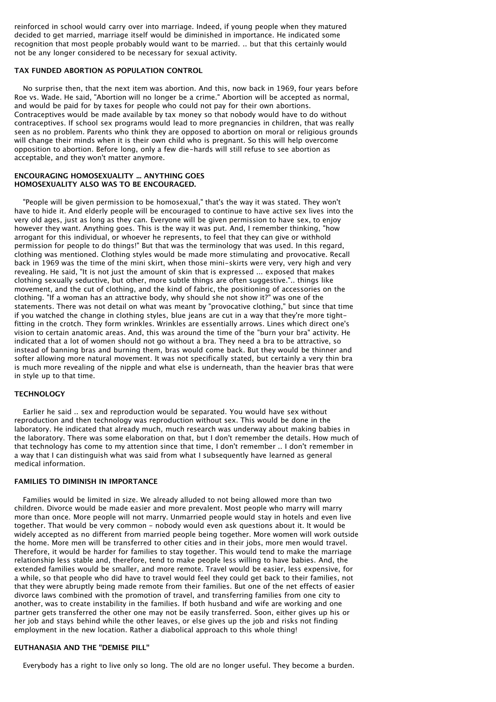reinforced in school would carry over into marriage. Indeed, if young people when they matured decided to get married, marriage itself would be diminished in importance. He indicated some recognition that most people probably would want to be married. .. but that this certainly would not be any longer considered to be necessary for sexual activity.

#### **TAX FUNDED ABORTION AS POPULATION CONTROL**

 No surprise then, that the next item was abortion. And this, now back in 1969, four years before Roe vs. Wade. He said, "Abortion will no longer be a crime." Abortion will be accepted as normal, and would be paid for by taxes for people who could not pay for their own abortions. Contraceptives would be made available by tax money so that nobody would have to do without contraceptives. If school sex programs would lead to more pregnancies in children, that was really seen as no problem. Parents who think they are opposed to abortion on moral or religious grounds will change their minds when it is their own child who is pregnant. So this will help overcome opposition to abortion. Before long, only a few die-hards will still refuse to see abortion as acceptable, and they won't matter anymore.

#### **ENCOURAGING HOMOSEXUALITY ... ANYTHING GOES HOMOSEXUALITY ALSO WAS TO BE ENCOURAGED.**

 "People will be given permission to be homosexual," that's the way it was stated. They won't have to hide it. And elderly people will be encouraged to continue to have active sex lives into the very old ages, just as long as they can. Everyone will be given permission to have sex, to enjoy however they want. Anything goes. This is the way it was put. And, I remember thinking, "how arrogant for this individual, or whoever he represents, to feel that they can give or withhold permission for people to do things!" But that was the terminology that was used. In this regard, clothing was mentioned. Clothing styles would be made more stimulating and provocative. Recall back in 1969 was the time of the mini skirt, when those mini-skirts were very, very high and very revealing. He said, "It is not just the amount of skin that is expressed ... exposed that makes clothing sexually seductive, but other, more subtle things are often suggestive.".. things like movement, and the cut of clothing, and the kind of fabric, the positioning of accessories on the clothing. "If a woman has an attractive body, why should she not show it?" was one of the statements. There was not detail on what was meant by "provocative clothing," but since that time if you watched the change in clothing styles, blue jeans are cut in a way that they're more tightfitting in the crotch. They form wrinkles. Wrinkles are essentially arrows. Lines which direct one's vision to certain anatomic areas. And, this was around the time of the "burn your bra" activity. He indicated that a lot of women should not go without a bra. They need a bra to be attractive, so instead of banning bras and burning them, bras would come back. But they would be thinner and softer allowing more natural movement. It was not specifically stated, but certainly a very thin bra is much more revealing of the nipple and what else is underneath, than the heavier bras that were in style up to that time.

#### **TECHNOLOGY**

 Earlier he said .. sex and reproduction would be separated. You would have sex without reproduction and then technology was reproduction without sex. This would be done in the laboratory. He indicated that already much, much research was underway about making babies in the laboratory. There was some elaboration on that, but I don't remember the details. How much of that technology has come to my attention since that time, I don't remember .. I don't remember in a way that I can distinguish what was said from what I subsequently have learned as general medical information.

#### **FAMILIES TO DIMINISH IN IMPORTANCE**

 Families would be limited in size. We already alluded to not being allowed more than two children. Divorce would be made easier and more prevalent. Most people who marry will marry more than once. More people will not marry. Unmarried people would stay in hotels and even live together. That would be very common - nobody would even ask questions about it. It would be widely accepted as no different from married people being together. More women will work outside the home. More men will be transferred to other cities and in their jobs, more men would travel. Therefore, it would be harder for families to stay together. This would tend to make the marriage relationship less stable and, therefore, tend to make people less willing to have babies. And, the extended families would be smaller, and more remote. Travel would be easier, less expensive, for a while, so that people who did have to travel would feel they could get back to their families, not that they were abruptly being made remote from their families. But one of the net effects of easier divorce laws combined with the promotion of travel, and transferring families from one city to another, was to create instability in the families. If both husband and wife are working and one partner gets transferred the other one may not be easily transferred. Soon, either gives up his or her job and stays behind while the other leaves, or else gives up the job and risks not finding employment in the new location. Rather a diabolical approach to this whole thing!

#### **EUTHANASIA AND THE "DEMISE PILL"**

Everybody has a right to live only so long. The old are no longer useful. They become a burden.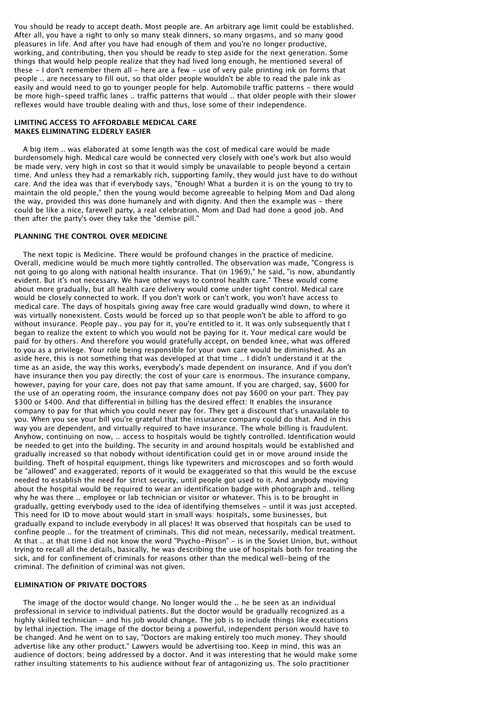You should be ready to accept death. Most people are. An arbitrary age limit could be established. After all, you have a right to only so many steak dinners, so many orgasms, and so many good pleasures in life. And after you have had enough of them and you're no longer productive, working, and contributing, then you should be ready to step aside for the next generation. Some things that would help people realize that they had lived long enough, he mentioned several of these - I don't remember them all - here are a few - use of very pale printing ink on forms that people .. are necessary to fill out, so that older people wouldn't be able to read the pale ink as easily and would need to go to younger people for help. Automobile traffic patterns - there would be more high-speed traffic lanes .. traffic patterns that would .. that older people with their slower reflexes would have trouble dealing with and thus, lose some of their independence.

#### **LIMITING ACCESS TO AFFORDABLE MEDICAL CARE MAKES ELIMINATING ELDERLY EASIER**

 A big item .. was elaborated at some length was the cost of medical care would be made burdensomely high. Medical care would be connected very closely with one's work but also would be made very, very high in cost so that it would simply be unavailable to people beyond a certain time. And unless they had a remarkably rich, supporting family, they would just have to do without care. And the idea was that if everybody says, "Enough! What a burden it is on the young to try to maintain the old people," then the young would become agreeable to helping Mom and Dad along the way, provided this was done humanely and with dignity. And then the example was - there could be like a nice, farewell party, a real celebration. Mom and Dad had done a good job. And then after the party's over they take the "demise pill."

#### **PLANNING THE CONTROL OVER MEDICINE**

 The next topic is Medicine. There would be profound changes in the practice of medicine. Overall, medicine would be much more tightly controlled. The observation was made, "Congress is not going to go along with national health insurance. That (in 1969)," he said, "is now, abundantly evident. But it's not necessary. We have other ways to control health care." These would come about more gradually, but all health care delivery would come under tight control. Medical care would be closely connected to work. If you don't work or can't work, you won't have access to medical care. The days of hospitals giving away free care would gradually wind down, to where it was virtually nonexistent. Costs would be forced up so that people won't be able to afford to go without insurance. People pay.. you pay for it, you're entitled to it. It was only subsequently that I began to realize the extent to which you would not be paying for it. Your medical care would be paid for by others. And therefore you would gratefully accept, on bended knee, what was offered to you as a privilege. Your role being responsible for your own care would be diminished. As an aside here, this is not something that was developed at that time .. I didn't understand it at the time as an aside, the way this works, everybody's made dependent on insurance. And if you don't have insurance then you pay directly; the cost of your care is enormous. The insurance company, however, paying for your care, does not pay that same amount. If you are charged, say, \$600 for the use of an operating room, the insurance company does not pay \$600 on your part. They pay \$300 or \$400. And that differential in billing has the desired effect: It enables the insurance company to pay for that which you could never pay for. They get a discount that's unavailable to you. When you see your bill you're grateful that the insurance company could do that. And in this way you are dependent, and virtually required to have insurance. The whole billing is fraudulent. Anyhow, continuing on now, .. access to hospitals would be tightly controlled. Identification would be needed to get into the building. The security in and around hospitals would be established and gradually increased so that nobody without identification could get in or move around inside the building. Theft of hospital equipment, things like typewriters and microscopes and so forth would be "allowed" and exaggerated; reports of it would be exaggerated so that this would be the excuse needed to establish the need for strict security, until people got used to it. And anybody moving about the hospital would be required to wear an identification badge with photograph and.. telling why he was there .. employee or lab technician or visitor or whatever. This is to be brought in gradually, getting everybody used to the idea of identifying themselves - until it was just accepted. This need for ID to move about would start in small ways: hospitals, some businesses, but gradually expand to include everybody in all places! It was observed that hospitals can be used to confine people .. for the treatment of criminals. This did not mean, necessarily, medical treatment. At that .. at that time I did not know the word "Psycho-Prison" - is in the Soviet Union, but, without trying to recall all the details, basically, he was describing the use of hospitals both for treating the sick, and for confinement of criminals for reasons other than the medical well-being of the criminal. The definition of criminal was not given.

#### **ELIMINATION OF PRIVATE DOCTORS**

 The image of the doctor would change. No longer would the .. he be seen as an individual professional in service to individual patients. But the doctor would be gradually recognized as a highly skilled technician - and his job would change. The job is to include things like executions by lethal injection. The image of the doctor being a powerful, independent person would have to be changed. And he went on to say, "Doctors are making entirely too much money. They should advertise like any other product." Lawyers would be advertising too. Keep in mind, this was an audience of doctors; being addressed by a doctor. And it was interesting that he would make some rather insulting statements to his audience without fear of antagonizing us. The solo practitioner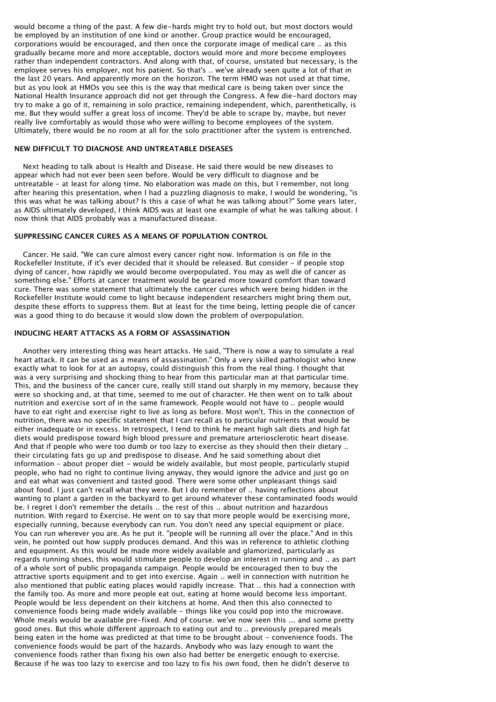would become a thing of the past. A few die-hards might try to hold out, but most doctors would be employed by an institution of one kind or another. Group practice would be encouraged, corporations would be encouraged, and then once the corporate image of medical care .. as this gradually became more and more acceptable, doctors would more and more become employees rather than independent contractors. And along with that, of course, unstated but necessary, is the employee serves his employer, not his patient. So that's .. we've already seen quite a lot of that in the last 20 years. And apparently more on the horizon. The term HMO was not used at that time, but as you look at HMOs you see this is the way that medical care is being taken over since the National Health Insurance approach did not get through the Congress. A few die-hard doctors may try to make a go of it, remaining in solo practice, remaining independent, which, parenthetically, is me. But they would suffer a great loss of income. They'd be able to scrape by, maybe, but never really live comfortably as would those who were willing to become employees of the system. Ultimately, there would be no room at all for the solo practitioner after the system is entrenched.

#### **NEW DIFFICULT TO DIAGNOSE AND UNTREATABLE DISEASES**

 Next heading to talk about is Health and Disease. He said there would be new diseases to appear which had not ever been seen before. Would be very difficult to diagnose and be untreatable - at least for along time. No elaboration was made on this, but I remember, not long after hearing this presentation, when I had a puzzling diagnosis to make, I would be wondering, "is this was what he was talking about? Is this a case of what he was talking about?" Some years later, as AIDS ultimately developed, I think AIDS was at least one example of what he was talking about. I now think that AIDS probably was a manufactured disease.

#### **SUPPRESSING CANCER CURES AS A MEANS OF POPULATION CONTROL**

 Cancer. He said. "We can cure almost every cancer right now. Information is on file in the Rockefeller Institute, if it's ever decided that it should be released. But consider - if people stop dying of cancer, how rapidly we would become overpopulated. You may as well die of cancer as something else." Efforts at cancer treatment would be geared more toward comfort than toward cure. There was some statement that ultimately the cancer cures which were being hidden in the Rockefeller Institute would come to light because independent researchers might bring them out, despite these efforts to suppress them. But at least for the time being, letting people die of cancer was a good thing to do because it would slow down the problem of overpopulation.

#### **INDUCING HEART ATTACKS AS A FORM OF ASSASSINATION**

 Another very interesting thing was heart attacks. He said, "There is now a way to simulate a real heart attack. It can be used as a means of assassination." Only a very skilled pathologist who knew exactly what to look for at an autopsy, could distinguish this from the real thing. I thought that was a very surprising and shocking thing to hear from this particular man at that particular time. This, and the business of the cancer cure, really still stand out sharply in my memory, because they were so shocking and, at that time, seemed to me out of character. He then went on to talk about nutrition and exercise sort of in the same framework. People would not have to .. people would have to eat right and exercise right to live as long as before. Most won't. This in the connection of nutrition, there was no specific statement that I can recall as to particular nutrients that would be either inadequate or in excess. In retrospect, I tend to think he meant high salt diets and high fat diets would predispose toward high blood pressure and premature arteriosclerotic heart disease. And that if people who were too dumb or too lazy to exercise as they should then their dietary .. their circulating fats go up and predispose to disease. And he said something about diet information - about proper diet - would be widely available, but most people, particularly stupid people, who had no right to continue living anyway, they would ignore the advice and just go on and eat what was convenient and tasted good. There were some other unpleasant things said about food. I just can't recall what they were. But I do remember of .. having reflections about wanting to plant a garden in the backyard to get around whatever these contaminated foods would be. I regret I don't remember the details .. the rest of this .. about nutrition and hazardous nutrition. With regard to Exercise. He went on to say that more people would be exercising more, especially running, because everybody can run. You don't need any special equipment or place. You can run wherever you are. As he put it. "people will be running all over the place." And in this vein, he pointed out how supply produces demand. And this was in reference to athletic clothing and equipment. As this would be made more widely available and glamorized, particularly as regards running shoes, this would stimulate people to develop an interest in running and .. as part of a whole sort of public propaganda campaign. People would be encouraged then to buy the attractive sports equipment and to get into exercise. Again .. well in connection with nutrition he also mentioned that public eating places would rapidly increase. That .. this had a connection with the family too. As more and more people eat out, eating at home would become less important. People would be less dependent on their kitchens at home. And then this also connected to convenience foods being made widely available - things like you could pop into the microwave. Whole meals would be available pre-fixed. And of course. we've now seen this ... and some pretty good ones. But this whole different approach to eating out and to .. previously prepared meals being eaten in the home was predicted at that time to be brought about - convenience foods. The convenience foods would be part of the hazards. Anybody who was lazy enough to want the convenience foods rather than fixing his own also had better be energetic enough to exercise. Because if he was too lazy to exercise and too lazy to fix his own food, then he didn't deserve to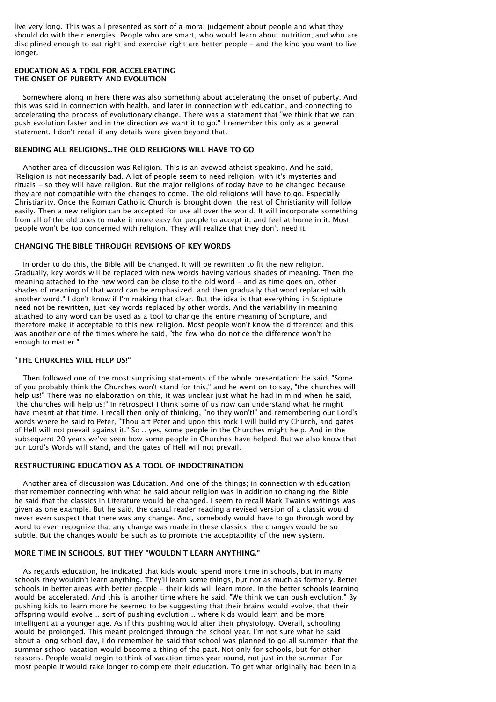live very long. This was all presented as sort of a moral judgement about people and what they should do with their energies. People who are smart, who would learn about nutrition, and who are disciplined enough to eat right and exercise right are better people - and the kind you want to live longer.

#### **EDUCATION AS A TOOL FOR ACCELERATING THE ONSET OF PUBERTY AND EVOLUTION**

 Somewhere along in here there was also something about accelerating the onset of puberty. And this was said in connection with health, and later in connection with education, and connecting to accelerating the process of evolutionary change. There was a statement that "we think that we can push evolution faster and in the direction we want it to go." I remember this only as a general statement. I don't recall if any details were given beyond that.

#### **BLENDING ALL RELIGIONS...THE OLD RELIGIONS WILL HAVE TO GO**

 Another area of discussion was Religion. This is an avowed atheist speaking. And he said, "Religion is not necessarily bad. A lot of people seem to need religion, with it's mysteries and rituals - so they will have religion. But the major religions of today have to be changed because they are not compatible with the changes to come. The old religions will have to go. Especially Christianity. Once the Roman Catholic Church is brought down, the rest of Christianity will follow easily. Then a new religion can be accepted for use all over the world. It will incorporate something from all of the old ones to make it more easy for people to accept it, and feel at home in it. Most people won't be too concerned with religion. They will realize that they don't need it.

#### **CHANGING THE BIBLE THROUGH REVISIONS OF KEY WORDS**

 In order to do this, the Bible will be changed. It will be rewritten to fit the new religion. Gradually, key words will be replaced with new words having various shades of meaning. Then the meaning attached to the new word can be close to the old word - and as time goes on, other shades of meaning of that word can be emphasized. and then gradually that word replaced with another word." I don't know if I'm making that clear. But the idea is that everything in Scripture need not be rewritten, just key words replaced by other words. And the variability in meaning attached to any word can be used as a tool to change the entire meaning of Scripture, and therefore make it acceptable to this new religion. Most people won't know the difference; and this was another one of the times where he said, "the few who do notice the difference won't be enough to matter."

#### **"THE CHURCHES WILL HELP US!"**

 Then followed one of the most surprising statements of the whole presentation: He said, "Some of you probably think the Churches won't stand for this," and he went on to say, "the churches will help us!" There was no elaboration on this, it was unclear just what he had in mind when he said, "the churches will help us!" In retrospect I think some of us now can understand what he might have meant at that time. I recall then only of thinking, "no they won't!" and remembering our Lord's words where he said to Peter, "Thou art Peter and upon this rock I will build my Church, and gates of Hell will not prevail against it." So .. yes, some people in the Churches might help. And in the subsequent 20 years we've seen how some people in Churches have helped. But we also know that our Lord's Words will stand, and the gates of Hell will not prevail.

#### **RESTRUCTURING EDUCATION AS A TOOL OF INDOCTRINATION**

 Another area of discussion was Education. And one of the things; in connection with education that remember connecting with what he said about religion was in addition to changing the Bible he said that the classics in Literature would be changed. I seem to recall Mark Twain's writings was given as one example. But he said, the casual reader reading a revised version of a classic would never even suspect that there was any change. And, somebody would have to go through word by word to even recognize that any change was made in these classics, the changes would be so subtle. But the changes would be such as to promote the acceptability of the new system.

### **MORE TIME IN SCHOOLS, BUT THEY "WOULDN'T LEARN ANYTHING."**

 As regards education, he indicated that kids would spend more time in schools, but in many schools they wouldn't learn anything. They'll learn some things, but not as much as formerly. Better schools in better areas with better people - their kids will learn more. In the better schools learning would be accelerated. And this is another time where he said, "We think we can push evolution." By pushing kids to learn more he seemed to be suggesting that their brains would evolve, that their offspring would evolve .. sort of pushing evolution .. where kids would learn and be more intelligent at a younger age. As if this pushing would alter their physiology. Overall, schooling would be prolonged. This meant prolonged through the school year. I'm not sure what he said about a long school day, I do remember he said that school was planned to go all summer, that the summer school vacation would become a thing of the past. Not only for schools, but for other reasons. People would begin to think of vacation times year round, not just in the summer. For most people it would take longer to complete their education. To get what originally had been in a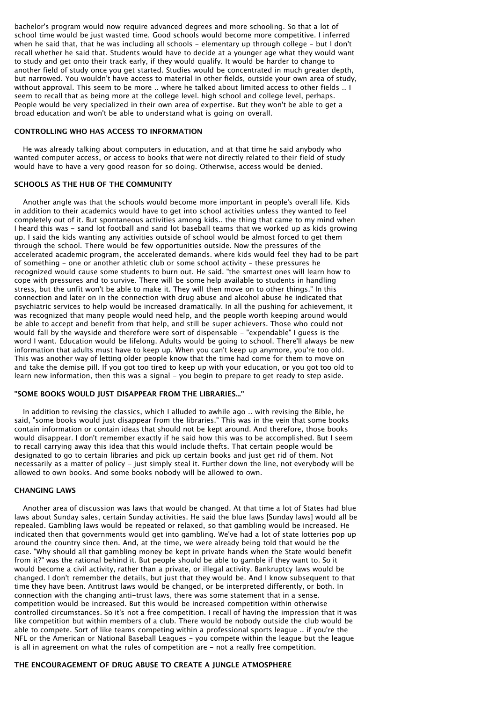bachelor's program would now require advanced degrees and more schooling. So that a lot of school time would be just wasted time. Good schools would become more competitive. I inferred when he said that, that he was including all schools - elementary up through college - but I don't recall whether he said that. Students would have to decide at a younger age what they would want to study and get onto their track early, if they would qualify. It would be harder to change to another field of study once you get started. Studies would be concentrated in much greater depth, but narrowed. You wouldn't have access to material in other fields, outside your own area of study, without approval. This seem to be more .. where he talked about limited access to other fields .. I seem to recall that as being more at the college level. high school and college level, perhaps. People would be very specialized in their own area of expertise. But they won't be able to get a broad education and won't be able to understand what is going on overall.

#### **CONTROLLING WHO HAS ACCESS TO INFORMATION**

 He was already talking about computers in education, and at that time he said anybody who wanted computer access, or access to books that were not directly related to their field of study would have to have a very good reason for so doing. Otherwise, access would be denied.

#### **SCHOOLS AS THE HUB OF THE COMMUNITY**

 Another angle was that the schools would become more important in people's overall life. Kids in addition to their academics would have to get into school activities unless they wanted to feel completely out of it. But spontaneous activities among kids.. the thing that came to my mind when I heard this was - sand lot football and sand lot baseball teams that we worked up as kids growing up. I said the kids wanting any activities outside of school would be almost forced to get them through the school. There would be few opportunities outside. Now the pressures of the accelerated academic program, the accelerated demands. where kids would feel they had to be part of something - one or another athletic club or some school activity - these pressures he recognized would cause some students to burn out. He said. "the smartest ones will learn how to cope with pressures and to survive. There will be some help available to students in handling stress, but the unfit won't be able to make it. They will then move on to other things." In this connection and later on in the connection with drug abuse and alcohol abuse he indicated that psychiatric services to help would be increased dramatically. In all the pushing for achievement, it was recognized that many people would need help, and the people worth keeping around would be able to accept and benefit from that help, and still be super achievers. Those who could not would fall by the wayside and therefore were sort of dispensable - "expendable" I guess is the word I want. Education would be lifelong. Adults would be going to school. There'll always be new information that adults must have to keep up. When you can't keep up anymore, you're too old. This was another way of letting older people know that the time had come for them to move on and take the demise pill. If you got too tired to keep up with your education, or you got too old to learn new information, then this was a signal - you begin to prepare to get ready to step aside.

#### **"SOME BOOKS WOULD JUST DISAPPEAR FROM THE LIBRARIES..."**

 In addition to revising the classics, which I alluded to awhile ago .. with revising the Bible, he said, "some books would just disappear from the libraries." This was in the vein that some books contain information or contain ideas that should not be kept around. And therefore, those books would disappear. I don't remember exactly if he said how this was to be accomplished. But I seem to recall carrying away this idea that this would include thefts. That certain people would be designated to go to certain libraries and pick up certain books and just get rid of them. Not necessarily as a matter of policy - just simply steal it. Further down the line, not everybody will be allowed to own books. And some books nobody will be allowed to own.

#### **CHANGING LAWS**

 Another area of discussion was laws that would be changed. At that time a lot of States had blue laws about Sunday sales, certain Sunday activities. He said the blue laws [Sunday laws] would all be repealed. Gambling laws would be repeated or relaxed, so that gambling would be increased. He indicated then that governments would get into gambling. We've had a lot of state lotteries pop up around the country since then. And, at the time, we were already being told that would be the case. "Why should all that gambling money be kept in private hands when the State would benefit from it?" was the rational behind it. But people should be able to gamble if they want to. So it would become a civil activity, rather than a private, or illegal activity. Bankruptcy laws would be changed. I don't remember the details, but just that they would be. And I know subsequent to that time they have been. Antitrust laws would be changed, or be interpreted differently, or both. In connection with the changing anti-trust laws, there was some statement that in a sense. competition would be increased. But this would be increased competition within otherwise controlled circumstances. So it's not a free competition. I recall of having the impression that it was like competition but within members of a club. There would be nobody outside the club would be able to compete. Sort of like teams competing within a professional sports league .. if you're the NFL or the American or National Baseball Leagues - you compete within the league but the league is all in agreement on what the rules of competition are - not a really free competition.

#### **THE ENCOURAGEMENT OF DRUG ABUSE TO CREATE A JUNGLE ATMOSPHERE**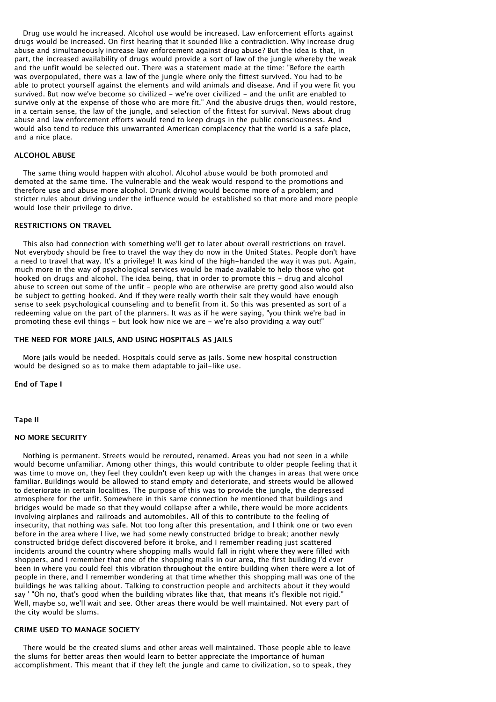Drug use would he increased. Alcohol use would be increased. Law enforcement efforts against drugs would be increased. On first hearing that it sounded like a contradiction. Why increase drug abuse and simultaneously increase law enforcement against drug abuse? But the idea is that, in part, the increased availability of drugs would provide a sort of law of the jungle whereby the weak and the unfit would be selected out. There was a statement made at the time: "Before the earth was overpopulated, there was a law of the jungle where only the fittest survived. You had to be able to protect yourself against the elements and wild animals and disease. And if you were fit you survived. But now we've become so civilized - we're over civilized - and the unfit are enabled to survive only at the expense of those who are more fit." And the abusive drugs then, would restore, in a certain sense, the law of the jungle, and selection of the fittest for survival. News about drug abuse and law enforcement efforts would tend to keep drugs in the public consciousness. And would also tend to reduce this unwarranted American complacency that the world is a safe place, and a nice place.

#### **ALCOHOL ABUSE**

 The same thing would happen with alcohol. Alcohol abuse would be both promoted and demoted at the same time. The vulnerable and the weak would respond to the promotions and therefore use and abuse more alcohol. Drunk driving would become more of a problem; and stricter rules about driving under the influence would be established so that more and more people would lose their privilege to drive.

#### **RESTRICTIONS ON TRAVEL**

 This also had connection with something we'll get to later about overall restrictions on travel. Not everybody should be free to travel the way they do now in the United States. People don't have a need to travel that way. It's a privilege! It was kind of the high-handed the way it was put. Again, much more in the way of psychological services would be made available to help those who got hooked on drugs and alcohol. The idea being, that in order to promote this - drug and alcohol abuse to screen out some of the unfit - people who are otherwise are pretty good also would also be subject to getting hooked. And if they were really worth their salt they would have enough sense to seek psychological counseling and to benefit from it. So this was presented as sort of a redeeming value on the part of the planners. It was as if he were saying, "you think we're bad in promoting these evil things - but look how nice we are - we're also providing a way out!"

#### **THE NEED FOR MORE JAILS, AND USING HOSPITALS AS JAILS**

 More jails would be needed. Hospitals could serve as jails. Some new hospital construction would be designed so as to make them adaptable to jail-like use.

**End of Tape I**

#### **Tape II**

#### **NO MORE SECURITY**

 Nothing is permanent. Streets would be rerouted, renamed. Areas you had not seen in a while would become unfamiliar. Among other things, this would contribute to older people feeling that it was time to move on, they feel they couldn't even keep up with the changes in areas that were once familiar. Buildings would be allowed to stand empty and deteriorate, and streets would be allowed to deteriorate in certain localities. The purpose of this was to provide the jungle, the depressed atmosphere for the unfit. Somewhere in this same connection he mentioned that buildings and bridges would be made so that they would collapse after a while, there would be more accidents involving airplanes and railroads and automobiles. All of this to contribute to the feeling of insecurity, that nothing was safe. Not too long after this presentation, and I think one or two even before in the area where I live, we had some newly constructed bridge to break; another newly constructed bridge defect discovered before it broke, and I remember reading just scattered incidents around the country where shopping malls would fall in right where they were filled with shoppers, and I remember that one of the shopping malls in our area, the first building I'd ever been in where you could feel this vibration throughout the entire building when there were a lot of people in there, and I remember wondering at that time whether this shopping mall was one of the buildings he was talking about. Talking to construction people and architects about it they would say ' "Oh no, that's good when the building vibrates like that, that means it's flexible not rigid." Well, maybe so, we'll wait and see. Other areas there would be well maintained. Not every part of the city would be slums.

#### **CRIME USED TO MANAGE SOCIETY**

 There would be the created slums and other areas well maintained. Those people able to leave the slums for better areas then would learn to better appreciate the importance of human accomplishment. This meant that if they left the jungle and came to civilization, so to speak, they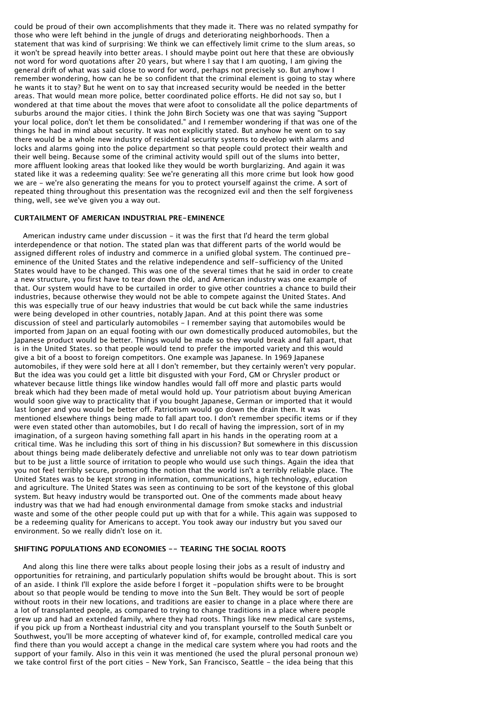could be proud of their own accomplishments that they made it. There was no related sympathy for those who were left behind in the jungle of drugs and deteriorating neighborhoods. Then a statement that was kind of surprising: We think we can effectively limit crime to the slum areas, so it won't be spread heavily into better areas. I should maybe point out here that these are obviously not word for word quotations after 20 years, but where I say that I am quoting, I am giving the general drift of what was said close to word for word, perhaps not precisely so. But anyhow I remember wondering, how can he be so confident that the criminal element is going to stay where he wants it to stay? But he went on to say that increased security would be needed in the better areas. That would mean more police, better coordinated police efforts. He did not say so, but I wondered at that time about the moves that were afoot to consolidate all the police departments of suburbs around the major cities. I think the John Birch Society was one that was saying "Support your local police, don't let them be consolidated." and I remember wondering if that was one of the things he had in mind about security. It was not explicitly stated. But anyhow he went on to say there would be a whole new industry of residential security systems to develop with alarms and locks and alarms going into the police department so that people could protect their wealth and their well being. Because some of the criminal activity would spill out of the slums into better, more affluent looking areas that looked like they would be worth burglarizing. And again it was stated like it was a redeeming quality: See we're generating all this more crime but look how good we are - we're also generating the means for you to protect yourself against the crime. A sort of repeated thing throughout this presentation was the recognized evil and then the self forgiveness thing, well, see we've given you a way out.

#### **CURTAILMENT OF AMERICAN INDUSTRIAL PRE-EMINENCE**

American industry came under discussion  $-$  it was the first that I'd heard the term global interdependence or that notion. The stated plan was that different parts of the world would be assigned different roles of industry and commerce in a unified global system. The continued preeminence of the United States and the relative independence and self-sufficiency of the United States would have to be changed. This was one of the several times that he said in order to create a new structure, you first have to tear down the old, and American industry was one example of that. Our system would have to be curtailed in order to give other countries a chance to build their industries, because otherwise they would not be able to compete against the United States. And this was especially true of our heavy industries that would be cut back while the same industries were being developed in other countries, notably Japan. And at this point there was some discussion of steel and particularly automobiles - I remember saying that automobiles would be imported from Japan on an equal footing with our own domestically produced automobiles, but the Japanese product would be better. Things would be made so they would break and fall apart, that is in the United States. so that people would tend to prefer the imported variety and this would give a bit of a boost to foreign competitors. One example was Japanese. In 1969 Japanese automobiles, if they were sold here at all I don't remember, but they certainly weren't very popular. But the idea was you could get a little bit disgusted with your Ford, GM or Chrysler product or whatever because little things like window handles would fall off more and plastic parts would break which had they been made of metal would hold up. Your patriotism about buying American would soon give way to practicality that if you bought Japanese, German or imported that it would last longer and you would be better off. Patriotism would go down the drain then. It was mentioned elsewhere things being made to fall apart too. I don't remember specific items or if they were even stated other than automobiles, but I do recall of having the impression, sort of in my imagination, of a surgeon having something fall apart in his hands in the operating room at a critical time. Was he including this sort of thing in his discussion? But somewhere in this discussion about things being made deliberately defective and unreliable not only was to tear down patriotism but to be just a little source of irritation to people who would use such things. Again the idea that you not feel terribly secure, promoting the notion that the world isn't a terribly reliable place. The United States was to be kept strong in information, communications, high technology, education and agriculture. The United States was seen as continuing to be sort of the keystone of this global system. But heavy industry would be transported out. One of the comments made about heavy industry was that we had had enough environmental damage from smoke stacks and industrial waste and some of the other people could put up with that for a while. This again was supposed to be a redeeming quality for Americans to accept. You took away our industry but you saved our environment. So we really didn't lose on it.

#### **SHIFTING POPULATIONS AND ECONOMIES -- TEARING THE SOCIAL ROOTS**

 And along this line there were talks about people losing their jobs as a result of industry and opportunities for retraining, and particularly population shifts would be brought about. This is sort of an aside. I think I'll explore the aside before I forget it -population shifts were to be brought about so that people would be tending to move into the Sun Belt. They would be sort of people without roots in their new locations, and traditions are easier to change in a place where there are a lot of transplanted people, as compared to trying to change traditions in a place where people grew up and had an extended family, where they had roots. Things like new medical care systems, if you pick up from a Northeast industrial city and you transplant yourself to the South Sunbelt or Southwest, you'll be more accepting of whatever kind of, for example, controlled medical care you find there than you would accept a change in the medical care system where you had roots and the support of your family. Also in this vein it was mentioned (he used the plural personal pronoun we) we take control first of the port cities - New York, San Francisco, Seattle - the idea being that this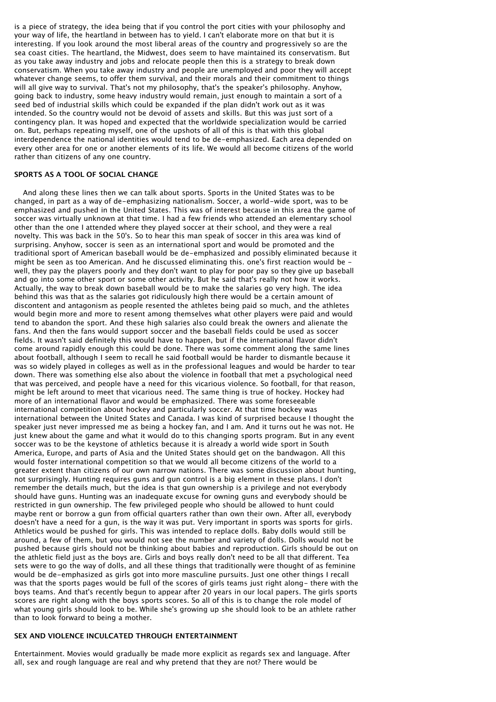is a piece of strategy, the idea being that if you control the port cities with your philosophy and your way of life, the heartland in between has to yield. I can't elaborate more on that but it is interesting. If you look around the most liberal areas of the country and progressively so are the sea coast cities. The heartland, the Midwest, does seem to have maintained its conservatism. But as you take away industry and jobs and relocate people then this is a strategy to break down conservatism. When you take away industry and people are unemployed and poor they will accept whatever change seems, to offer them survival, and their morals and their commitment to things will all give way to survival. That's not my philosophy, that's the speaker's philosophy. Anyhow, going back to industry, some heavy industry would remain, just enough to maintain a sort of a seed bed of industrial skills which could be expanded if the plan didn't work out as it was intended. So the country would not be devoid of assets and skills. But this was just sort of a contingency plan. It was hoped and expected that the worldwide specialization would be carried on. But, perhaps repeating myself, one of the upshots of all of this is that with this global interdependence the national identities would tend to be de-emphasized. Each area depended on every other area for one or another elements of its life. We would all become citizens of the world rather than citizens of any one country.

#### **SPORTS AS A TOOL OF SOCIAL CHANGE**

 And along these lines then we can talk about sports. Sports in the United States was to be changed, in part as a way of de-emphasizing nationalism. Soccer, a world-wide sport, was to be emphasized and pushed in the United States. This was of interest because in this area the game of soccer was virtually unknown at that time. I had a few friends who attended an elementary school other than the one I attended where they played soccer at their school, and they were a real novelty. This was back in the 50's. So to hear this man speak of soccer in this area was kind of surprising. Anyhow, soccer is seen as an international sport and would be promoted and the traditional sport of American baseball would be de-emphasized and possibly eliminated because it might be seen as too American. And he discussed eliminating this. one's first reaction would be well, they pay the players poorly and they don't want to play for poor pay so they give up baseball and go into some other sport or some other activity. But he said that's really not how it works. Actually, the way to break down baseball would be to make the salaries go very high. The idea behind this was that as the salaries got ridiculously high there would be a certain amount of discontent and antagonism as people resented the athletes being paid so much, and the athletes would begin more and more to resent among themselves what other players were paid and would tend to abandon the sport. And these high salaries also could break the owners and alienate the fans. And then the fans would support soccer and the baseball fields could be used as soccer fields. It wasn't said definitely this would have to happen, but if the international flavor didn't come around rapidly enough this could be done. There was some comment along the same lines about football, although I seem to recall he said football would be harder to dismantle because it was so widely played in colleges as well as in the professional leagues and would be harder to tear down. There was something else also about the violence in football that met a psychological need that was perceived, and people have a need for this vicarious violence. So football, for that reason, might be left around to meet that vicarious need. The same thing is true of hockey. Hockey had more of an international flavor and would be emphasized. There was some foreseeable international competition about hockey and particularly soccer. At that time hockey was international between the United States and Canada. I was kind of surprised because I thought the speaker just never impressed me as being a hockey fan, and I am. And it turns out he was not. He just knew about the game and what it would do to this changing sports program. But in any event soccer was to be the keystone of athletics because it is already a world wide sport in South America, Europe, and parts of Asia and the United States should get on the bandwagon. All this would foster international competition so that we would all become citizens of the world to a greater extent than citizens of our own narrow nations. There was some discussion about hunting, not surprisingly. Hunting requires guns and gun control is a big element in these plans. I don't remember the details much, but the idea is that gun ownership is a privilege and not everybody should have guns. Hunting was an inadequate excuse for owning guns and everybody should be restricted in gun ownership. The few privileged people who should be allowed to hunt could maybe rent or borrow a gun from official quarters rather than own their own. After all, everybody doesn't have a need for a gun, is the way it was put. Very important in sports was sports for girls. Athletics would be pushed for girls. This was intended to replace dolls. Baby dolls would still be around, a few of them, but you would not see the number and variety of dolls. Dolls would not be pushed because girls should not be thinking about babies and reproduction. Girls should be out on the athletic field just as the boys are. Girls and boys really don't need to be all that different. Tea sets were to go the way of dolls, and all these things that traditionally were thought of as feminine would be de-emphasized as girls got into more masculine pursuits. Just one other things I recall was that the sports pages would be full of the scores of girls teams just right along- there with the boys teams. And that's recently begun to appear after 20 years in our local papers. The girls sports scores are right along with the boys sports scores. So all of this is to change the role model of what young girls should look to be. While she's growing up she should look to be an athlete rather than to look forward to being a mother.

#### **SEX AND VIOLENCE INCULCATED THROUGH ENTERTAINMENT**

Entertainment. Movies would gradually be made more explicit as regards sex and language. After all, sex and rough language are real and why pretend that they are not? There would be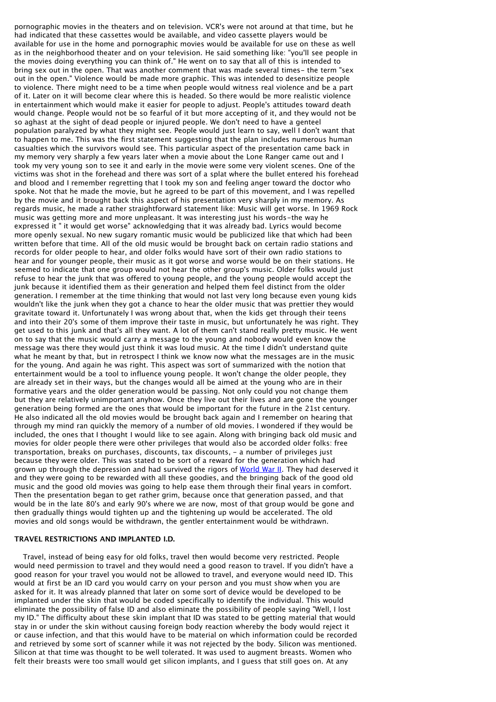pornographic movies in the theaters and on television. VCR's were not around at that time, but he had indicated that these cassettes would be available, and video cassette players would be available for use in the home and pornographic movies would be available for use on these as well as in the neighborhood theater and on your television. He said something like: "you'll see people in the movies doing everything you can think of." He went on to say that all of this is intended to bring sex out in the open. That was another comment that was made several times- the term "sex out in the open." Violence would be made more graphic. This was intended to desensitize people to violence. There might need to be a time when people would witness real violence and be a part of it. Later on it will become clear where this is headed. So there would be more realistic violence in entertainment which would make it easier for people to adjust. People's attitudes toward death would change. People would not be so fearful of it but more accepting of it, and they would not be so aghast at the sight of dead people or injured people. We don't need to have a genteel population paralyzed by what they might see. People would just learn to say, well I don't want that to happen to me. This was the first statement suggesting that the plan includes numerous human casualties which the survivors would see. This particular aspect of the presentation came back in my memory very sharply a few years later when a movie about the Lone Ranger came out and I took my very young son to see it and early in the movie were some very violent scenes. One of the victims was shot in the forehead and there was sort of a splat where the bullet entered his forehead and blood and I remember regretting that I took my son and feeling anger toward the doctor who spoke. Not that he made the movie, but he agreed to be part of this movement, and I was repelled by the movie and it brought back this aspect of his presentation very sharply in my memory. As regards music, he made a rather straightforward statement like: Music will get worse. In 1969 Rock music was getting more and more unpleasant. It was interesting just his words-the way he expressed it " it would get worse" acknowledging that it was already bad. Lyrics would become more openly sexual. No new sugary romantic music would be publicized like that which had been written before that time. All of the old music would be brought back on certain radio stations and records for older people to hear, and older folks would have sort of their own radio stations to hear and for younger people, their music as it got worse and worse would be on their stations. He seemed to indicate that one group would not hear the other group's music. Older folks would just refuse to hear the junk that was offered to young people, and the young people would accept the junk because it identified them as their generation and helped them feel distinct from the older generation. I remember at the time thinking that would not last very long because even young kids wouldn't like the junk when they got a chance to hear the older music that was prettier they would gravitate toward it. Unfortunately I was wrong about that, when the kids get through their teens and into their 20's some of them improve their taste in music, but unfortunately he was right. They get used to this junk and that's all they want. A lot of them can't stand really pretty music. He went on to say that the music would carry a message to the young and nobody would even know the message was there they would just think it was loud music. At the time I didn't understand quite what he meant by that, but in retrospect I think we know now what the messages are in the music for the young. And again he was right. This aspect was sort of summarized with the notion that entertainment would be a tool to influence young people. It won't change the older people, they are already set in their ways, but the changes would all be aimed at the young who are in their formative years and the older generation would be passing. Not only could you not change them but they are relatively unimportant anyhow. Once they live out their lives and are gone the younger generation being formed are the ones that would be important for the future in the 21st century. He also indicated all the old movies would be brought back again and I remember on hearing that through my mind ran quickly the memory of a number of old movies. I wondered if they would be included, the ones that I thought I would like to see again. Along with bringing back old music and movies for older people there were other privileges that would also be accorded older folks: free transportation, breaks on purchases, discounts, tax discounts, - a number of privileges just because they were older. This was stated to be sort of a reward for the generation which had grown up through the depression and had survived the rigors of [World War II.](file:///01.htm#ww2) They had deserved it and they were going to be rewarded with all these goodies, and the bringing back of the good old music and the good old movies was going to help ease them through their final years in comfort. Then the presentation began to get rather grim, because once that generation passed, and that would be in the late 80's and early 90's where we are now, most of that group would be gone and then gradually things would tighten up and the tightening up would be accelerated. The old movies and old songs would be withdrawn, the gentler entertainment would be withdrawn.

#### **TRAVEL RESTRICTIONS AND IMPLANTED I.D.**

 Travel, instead of being easy for old folks, travel then would become very restricted. People would need permission to travel and they would need a good reason to travel. If you didn't have a good reason for your travel you would not be allowed to travel, and everyone would need ID. This would at first be an ID card you would carry on your person and you must show when you are asked for it. It was already planned that later on some sort of device would be developed to be implanted under the skin that would be coded specifically to identify the individual. This would eliminate the possibility of false ID and also eliminate the possibility of people saying "Well, I lost my ID." The difficulty about these skin implant that ID was stated to be getting material that would stay in or under the skin without causing foreign body reaction whereby the body would reject it or cause infection, and that this would have to be material on which information could be recorded and retrieved by some sort of scanner while it was not rejected by the body. Silicon was mentioned. Silicon at that time was thought to be well tolerated. It was used to augment breasts. Women who felt their breasts were too small would get silicon implants, and I guess that still goes on. At any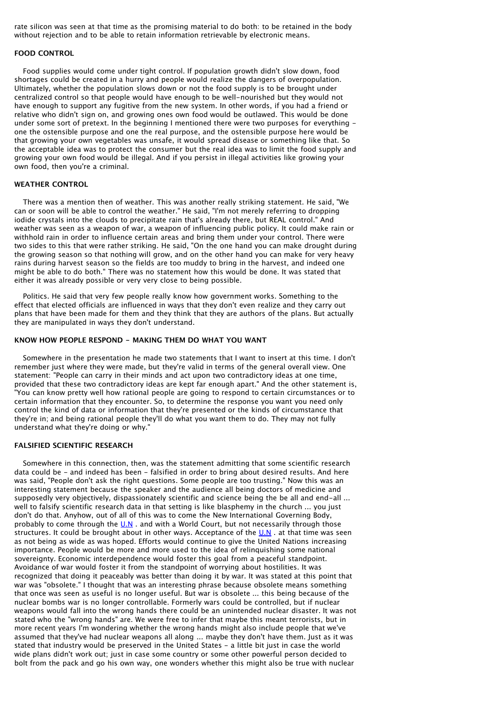rate silicon was seen at that time as the promising material to do both: to be retained in the body without rejection and to be able to retain information retrievable by electronic means.

#### **FOOD CONTROL**

 Food supplies would come under tight control. If population growth didn't slow down, food shortages could be created in a hurry and people would realize the dangers of overpopulation. Ultimately, whether the population slows down or not the food supply is to be brought under centralized control so that people would have enough to be well-nourished but they would not have enough to support any fugitive from the new system. In other words, if you had a friend or relative who didn't sign on, and growing ones own food would be outlawed. This would be done under some sort of pretext. In the beginning I mentioned there were two purposes for everything one the ostensible purpose and one the real purpose, and the ostensible purpose here would be that growing your own vegetables was unsafe, it would spread disease or something like that. So the acceptable idea was to protect the consumer but the real idea was to limit the food supply and growing your own food would be illegal. And if you persist in illegal activities like growing your own food, then you're a criminal.

#### **WEATHER CONTROL**

 There was a mention then of weather. This was another really striking statement. He said, "We can or soon will be able to control the weather." He said, "I'm not merely referring to dropping iodide crystals into the clouds to precipitate rain that's already there, but REAL control." And weather was seen as a weapon of war, a weapon of influencing public policy. It could make rain or withhold rain in order to influence certain areas and bring them under your control. There were two sides to this that were rather striking. He said, "On the one hand you can make drought during the growing season so that nothing will grow, and on the other hand you can make for very heavy rains during harvest season so the fields are too muddy to bring in the harvest, and indeed one might be able to do both." There was no statement how this would be done. It was stated that either it was already possible or very very close to being possible.

 Politics. He said that very few people really know how government works. Something to the effect that elected officials are influenced in ways that they don't even realize and they carry out plans that have been made for them and they think that they are authors of the plans. But actually they are manipulated in ways they don't understand.

#### **KNOW HOW PEOPLE RESPOND - MAKING THEM DO WHAT YOU WANT**

 Somewhere in the presentation he made two statements that I want to insert at this time. I don't remember just where they were made, but they're valid in terms of the general overall view. One statement: "People can carry in their minds and act upon two contradictory ideas at one time, provided that these two contradictory ideas are kept far enough apart." And the other statement is, "You can know pretty well how rational people are going to respond to certain circumstances or to certain information that they encounter. So, to determine the response you want you need only control the kind of data or information that they're presented or the kinds of circumstance that they're in; and being rational people they'll do what you want them to do. They may not fully understand what they're doing or why."

#### **FALSIFIED SCIENTIFIC RESEARCH**

 Somewhere in this connection, then, was the statement admitting that some scientific research data could be - and indeed has been - falsified in order to bring about desired results. And here was said, "People don't ask the right questions. Some people are too trusting." Now this was an interesting statement because the speaker and the audience all being doctors of medicine and supposedly very objectively, dispassionately scientific and science being the be all and end-all ... well to falsify scientific research data in that setting is like blasphemy in the church ... you just don't do that. Anyhow, out of all of this was to come the New International Governing Body, probably to come through the  $ULN$ . and with a World Court, but not necessarily through those structures. It could be brought about in other ways. Acceptance of the  $ULN$  . at that time was seen as not being as wide as was hoped. Efforts would continue to give the United Nations increasing importance. People would be more and more used to the idea of relinquishing some national sovereignty. Economic interdependence would foster this goal from a peaceful standpoint. Avoidance of war would foster it from the standpoint of worrying about hostilities. It was recognized that doing it peaceably was better than doing it by war. It was stated at this point that war was "obsolete." I thought that was an interesting phrase because obsolete means something that once was seen as useful is no longer useful. But war is obsolete ... this being because of the nuclear bombs war is no longer controllable. Formerly wars could be controlled, but if nuclear weapons would fall into the wrong hands there could be an unintended nuclear disaster. It was not stated who the "wrong hands" are. We were free to infer that maybe this meant terrorists, but in more recent years I'm wondering whether the wrong hands might also include people that we've assumed that they've had nuclear weapons all along ... maybe they don't have them. Just as it was stated that industry would be preserved in the United States - a little bit just in case the world wide plans didn't work out; just in case some country or some other powerful person decided to bolt from the pack and go his own way, one wonders whether this might also be true with nuclear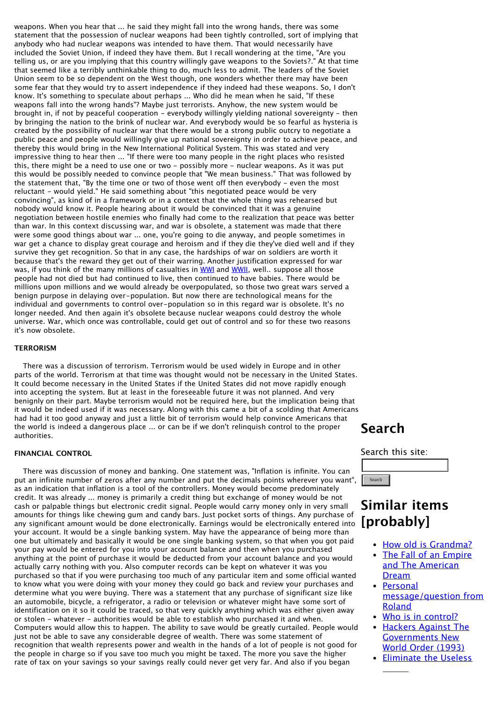weapons. When you hear that ... he said they might fall into the wrong hands, there was some statement that the possession of nuclear weapons had been tightly controlled, sort of implying that anybody who had nuclear weapons was intended to have them. That would necessarily have included the Soviet Union, if indeed they have them. But I recall wondering at the time, "Are you telling us, or are you implying that this country willingly gave weapons to the Soviets?." At that time that seemed like a terribly unthinkable thing to do, much less to admit. The leaders of the Soviet Union seem to be so dependent on the West though, one wonders whether there may have been some fear that they would try to assert independence if they indeed had these weapons. So, I don't know. It's something to speculate about perhaps ... Who did he mean when he said, "If these weapons fall into the wrong hands"? Maybe just terrorists. Anyhow, the new system would be brought in, if not by peaceful cooperation - everybody willingly yielding national sovereignty - then by bringing the nation to the brink of nuclear war. And everybody would be so fearful as hysteria is created by the possibility of nuclear war that there would be a strong public outcry to negotiate a public peace and people would willingly give up national sovereignty in order to achieve peace, and thereby this would bring in the New International Political System. This was stated and very impressive thing to hear then ... "If there were too many people in the right places who resisted this, there might be a need to use one or two - possibly more - nuclear weapons. As it was put this would be possibly needed to convince people that "We mean business." That was followed by the statement that, "By the time one or two of those went off then everybody - even the most reluctant - would yield." He said something about "this negotiated peace would be very convincing", as kind of in a framework or in a context that the whole thing was rehearsed but nobody would know it. People hearing about it would be convinced that it was a genuine negotiation between hostile enemies who finally had come to the realization that peace was better than war. In this context discussing war, and war is obsolete, a statement was made that there were some good things about war ... one, you're going to die anyway, and people sometimes in war get a chance to display great courage and heroism and if they die they've died well and if they survive they get recognition. So that in any case, the hardships of war on soldiers are worth it because that's the reward they get out of their warring. Another justification expressed for war was, if you think of the many millions of casualties in [WWI](file:///01.htm#ww1) and [WWII,](file:///01.htm#ww2) well.. suppose all those people had not died but had continued to live, then continued to have babies. There would be millions upon millions and we would already be overpopulated, so those two great wars served a benign purpose in delaying over-population. But now there are technological means for the individual and governments to control over-population so in this regard war is obsolete. It's no longer needed. And then again it's obsolete because nuclear weapons could destroy the whole universe. War, which once was controllable, could get out of control and so for these two reasons it's now obsolete.

#### **TERRORISM**

 There was a discussion of terrorism. Terrorism would be used widely in Europe and in other parts of the world. Terrorism at that time was thought would not be necessary in the United States. It could become necessary in the United States if the United States did not move rapidly enough into accepting the system. But at least in the foreseeable future it was not planned. And very benignly on their part. Maybe terrorism would not be required here, but the implication being that it would be indeed used if it was necessary. Along with this came a bit of a scolding that Americans had had it too good anyway and just a little bit of terrorism would help convince Americans that the world is indeed a dangerous place ... or can be if we don't relinquish control to the proper authorities.

#### **FINANCIAL CONTROL**

 There was discussion of money and banking. One statement was, "Inflation is infinite. You can put an infinite number of zeros after any number and put the decimals points wherever you want", where the search as an indication that inflation is a tool of the controllers. Money would become predominately credit. It was already ... money is primarily a credit thing but exchange of money would be not cash or palpable things but electronic credit signal. People would carry money only in very small amounts for things like chewing gum and candy bars. Just pocket sorts of things. Any purchase of any significant amount would be done electronically. Earnings would be electronically entered into **[probably]** your account. It would be a single banking system. May have the appearance of being more than one but ultimately and basically it would be one single banking system, so that when you got paid your pay would be entered for you into your account balance and then when you purchased anything at the point of purchase it would be deducted from your account balance and you would actually carry nothing with you. Also computer records can be kept on whatever it was you purchased so that if you were purchasing too much of any particular item and some official wanted to know what you were doing with your money they could go back and review your purchases and determine what you were buying. There was a statement that any purchase of significant size like an automobile, bicycle, a refrigerator, a radio or television or whatever might have some sort of identification on it so it could be traced, so that very quickly anything which was either given away or stolen - whatever - authorities would be able to establish who purchased it and when. Computers would allow this to happen. The ability to save would be greatly curtailed. People would just not be able to save any considerable degree of wealth. There was some statement of recognition that wealth represents power and wealth in the hands of a lot of people is not good for the people in charge so if you save too much you might be taxed. The more you save the higher rate of tax on your savings so your savings really could never get very far. And also if you began

**Search**

| אזוכ כוווז וואסכ. |  |  |
|-------------------|--|--|
|                   |  |  |
|                   |  |  |
|                   |  |  |

Search this site:

# **Similar items**

- [How old is Grandma?](file:///node/1429)
- [The Fall of an Empire](file:///node/1332) [and The American](file:///node/1332) [Dream](file:///node/1332)
- [Personal](file:///node/675) [message/question from](file:///node/675) [Roland](file:///node/675)
- . [Who is in control?](file:///spiritual/who_is_in_control)
- [Hackers Against The](file:///node/633) [Governments New](file:///node/633) [World Order \(1993\)](file:///node/633)
- **[Eliminate the Useless](file:///node/1046)**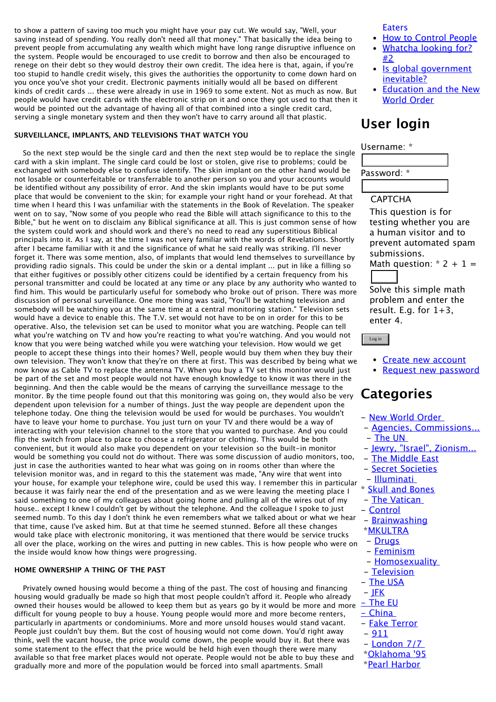to show a pattern of saving too much you might have your pay cut. We would say, "Well, your saving instead of spending. You really don't need all that money." That basically the idea being to prevent people from accumulating any wealth which might have long range disruptive influence on the system. People would be encouraged to use credit to borrow and then also be encouraged to renege on their debt so they would destroy their own credit. The idea here is that, again, if you're too stupid to handle credit wisely, this gives the authorities the opportunity to come down hard on you once you've shot your credit. Electronic payments initially would all be based on different kinds of credit cards ... these were already in use in 1969 to some extent. Not as much as now. But people would have credit cards with the electronic strip on it and once they got used to that then it would be pointed out the advantage of having all of that combined into a single credit card, serving a single monetary system and then they won't have to carry around all that plastic.

#### **SURVEILLANCE, IMPLANTS, AND TELEVISIONS THAT WATCH YOU**

 So the next step would be the single card and then the next step would be to replace the single card with a skin implant. The single card could be lost or stolen, give rise to problems; could be exchanged with somebody else to confuse identify. The skin implant on the other hand would be not losable or counterfeitable or transferrable to another person so you and your accounts would be identified without any possibility of error. And the skin implants would have to be put some place that would be convenient to the skin; for example your right hand or your forehead. At that time when I heard this I was unfamiliar with the statements in the Book of Revelation. The speaker went on to say, "Now some of you people who read the Bible will attach significance to this to the Bible," but he went on to disclaim any Biblical significance at all. This is just common sense of how the system could work and should work and there's no need to read any superstitious Biblical principals into it. As I say, at the time I was not very familiar with the words of Revelations. Shortly after I became familiar with it and the significance of what he said really was striking. I'll never forget it. There was some mention, also, of implants that would lend themselves to surveillance by providing radio signals. This could be under the skin or a dental implant ... put in like a filling so that either fugitives or possibly other citizens could be identified by a certain frequency from his personal transmitter and could be located at any time or any place by any authority who wanted to find him. This would be particularly useful for somebody who broke out of prison. There was more discussion of personal surveillance. One more thing was said, "You'll be watching television and somebody will be watching you at the same time at a central monitoring station." Television sets would have a device to enable this. The T.V. set would not have to be on in order for this to be operative. Also, the television set can be used to monitor what you are watching. People can tell what you're watching on TV and how you're reacting to what you're watching. And you would not know that you were being watched while you were watching your television. How would we get people to accept these things into their homes? Well, people would buy them when they buy their own television. They won't know that they're on there at first. This was described by being what we now know as Cable TV to replace the antenna TV. When you buy a TV set this monitor would just be part of the set and most people would not have enough knowledge to know it was there in the beginning. And then the cable would be the means of carrying the surveillance message to the monitor. By the time people found out that this monitoring was going on, they would also be very dependent upon television for a number of things. Just the way people are dependent upon the telephone today. One thing the television would be used for would be purchases. You wouldn't have to leave your home to purchase. You just turn on your TV and there would be a way of interacting with your television channel to the store that you wanted to purchase. And you could flip the switch from place to place to choose a refrigerator or clothing. This would be both convenient, but it would also make you dependent on your television so the built-in monitor would be something you could not do without. There was some discussion of audio monitors, too, just in case the authorities wanted to hear what was going on in rooms other than where the television monitor was, and in regard to this the statement was made, "Any wire that went into your house, for example your telephone wire, could be used this way. I remember this in particular because it was fairly near the end of the presentation and as we were leaving the meeting place I said something to one of my colleagues about going home and pulling all of the wires out of my house.. except I knew I couldn't get by without the telephone. And the colleague I spoke to just seemed numb. To this day I don't think he even remembers what we talked about or what we hear that time, cause I've asked him. But at that time he seemed stunned. Before all these changes would take place with electronic monitoring, it was mentioned that there would be service trucks all over the place, working on the wires and putting in new cables. This is how people who were on the inside would know how things were progressing.

#### **HOME OWNERSHIP A THING OF THE PAST**

 Privately owned housing would become a thing of the past. The cost of housing and financing housing would gradually be made so high that most people couldn't afford it. People who already owned their houses would be allowed to keep them but as years go by it would be more and more  $\frac{-\text{The EU}}{=}$ difficult for young people to buy a house. Young people would more and more become renters, particularly in apartments or condominiums. More and more unsold houses would stand vacant. People just couldn't buy them. But the cost of housing would not come down. You'd right away think, well the vacant house, the price would come down, the people would buy it. But there was some statement to the effect that the price would be held high even though there were many available so that free market places would not operate. People would not be able to buy these and gradually more and more of the population would be forced into small apartments. Small

#### **[Eaters](file:///node/1046)**

- [How to Control People](file:///node/9) [Whatcha looking for?](file:///cybe/whatchalookingfor2) [#2](file:///cybe/whatchalookingfor2)
- [Is global government](file:///node/18) [inevitable?](file:///node/18)
- [Education and the New](file:///node/175) [World Order](file:///node/175)

# **User login**

Username: \*



CAPTCHA

This question is for testing whether you are a human visitor and to prevent automated spam submissions.

Math question:  $* 2 + 1 =$ 

Solve this simple math problem and enter the result. E.g. for  $1+3$ , enter 4.

#### Log in

- [Create new account](file:///user/register)
- [Request new password](file:///user/password)

# **Categories**

- [New World Order](file:///nwo)
- [Agencies, Commissions...](file:///agencies) - [The UN](file:///un)
- 
- [Jewry, "Israel", Zionism...](file:///jewry)
- [The Middle East](file:///search/node/middle%20east)
- [Secret Societies](file:///societies)
- - [Illuminati](file:///illuminati)
- \* [Skull and Bones](file:///search/node/skull+and+bones)
- The Vatican
- [Control](file:///control)
- [Brainwashing](file:///brainwashing)
- [\\*MKULTRA](file:///search/node/mkultra)
- - [Drugs](file:///drugs)
- <u>Feminism</u>
- 
- Homosexuality
- [Television](file:///television)
- [The USA](file:///usa)
- [JFK](file:///jfk)
- 
- [China](file:///china)
- [Fake Terror](file:///faketerror)
- $-911$  $-911$
- London 7/7
- [\\*Oklahoma](file:///search/node/oklahoma) '95
- [\\*Pearl Harbor](file:///search/node/pearl+harbor)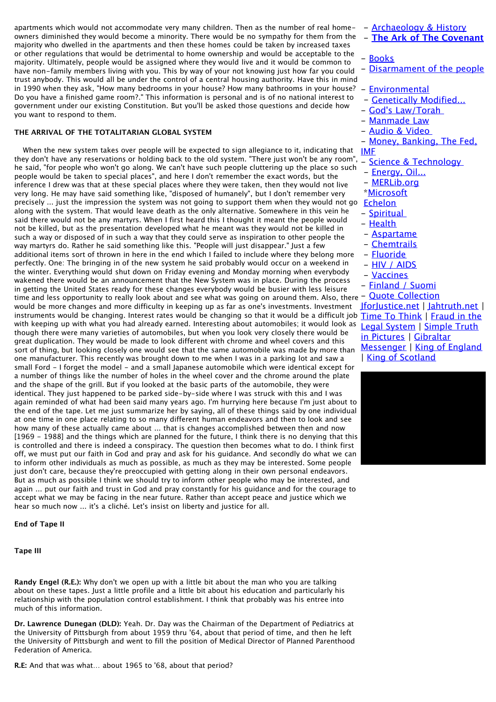apartments which would not accommodate very many children. Then as the number of real homeowners diminished they would become a minority. There would be no sympathy for them from the majority who dwelled in the apartments and then these homes could be taken by increased taxes or other regulations that would be detrimental to home ownership and would be acceptable to the majority. Ultimately, people would be assigned where they would live and it would be common to have non-family members living with you. This by way of your not knowing just how far you could trust anybody. This would all be under the control of a central housing authority. Have this in mind in 1990 when they ask, "How many bedrooms in your house? How many bathrooms in your house? Do you have a finished game room?." This information is personal and is of no national interest to government under our existing Constitution. But you'll be asked those questions and decide how you want to respond to them.

#### **THE ARRIVAL OF THE TOTALITARIAN GLOBAL SYSTEM**

 When the new system takes over people will be expected to sign allegiance to it, indicating that they don't have any reservations or holding back to the old system. "There just won't be any room", he said, "for people who won't go along. We can't have such people cluttering up the place so such people would be taken to special places", and here I don't remember the exact words, but the inference I drew was that at these special places where they were taken, then they would not live very long. He may have said something like, "disposed of humanely", but I don't remember very precisely ... just the impression the system was not going to support them when they would not go **[Echelon](file:///echelon)** along with the system. That would leave death as the only alternative. Somewhere in this vein he said there would not be any martyrs. When I first heard this I thought it meant the people would not be killed, but as the presentation developed what he meant was they would not be killed in such a way or disposed of in such a way that they could serve as inspiration to other people the way martyrs do. Rather he said something like this. "People will just disappear." Just a few additional items sort of thrown in here in the end which I failed to include where they belong more perfectly. One: The bringing in of the new system he said probably would occur on a weekend in the winter. Everything would shut down on Friday evening and Monday morning when everybody wakened there would be an announcement that the New System was in place. During the process in getting the United States ready for these changes everybody would be busier with less leisure time and less opportunity to really look about and see what was going on around them. Also, there wheth Collection would be more changes and more difficulty in keeping up as far as one's investments. Investment instruments would be changing. Interest rates would be changing so that it would be a difficult job <u>Time To Think</u> | <u>[Fraud in the](https://fraudinthelegalsystem.wordpress.com/)</u> with keeping up with what you had already earned. Interesting about automobiles; it would look as though there were many varieties of automobiles, but when you look very closely there would be great duplication. They would be made to look different with chrome and wheel covers and this sort of thing, but looking closely one would see that the same automobile was made by more than one manufacturer. This recently was brought down to me when I was in a parking lot and saw a small Ford - I forget the model - and a small Japanese automobile which were identical except for a number of things like the number of holes in the wheel cover and the chrome around the plate and the shape of the grill. But if you looked at the basic parts of the automobile, they were identical. They just happened to be parked side-by-side where I was struck with this and I was again reminded of what had been said many years ago. I'm hurrying here because I'm just about to the end of the tape. Let me just summarize her by saying, all of these things said by one individual at one time in one place relating to so many different human endeavors and then to look and see how many of these actually came about ... that is changes accomplished between then and now [1969 - 1988] and the things which are planned for the future, I think there is no denying that this is controlled and there is indeed a conspiracy. The question then becomes what to do. I think first off, we must put our faith in God and pray and ask for his guidance. And secondly do what we can to inform other individuals as much as possible, as much as they may be interested. Some people just don't care, because they're preoccupied with getting along in their own personal endeavors. But as much as possible I think we should try to inform other people who may be interested, and again ... put our faith and trust in God and pray constantly for his guidance and for the courage to accept what we may be facing in the near future. Rather than accept peace and justice which we hear so much now ... it's a cliché. Let's insist on liberty and justice for all.

**End of Tape II**

**Tape III**

**Randy Engel (R.E.):** Why don't we open up with a little bit about the man who you are talking about on these tapes. Just a little profile and a little bit about his education and particularly his relationship with the population control establishment. I think that probably was his entree into much of this information.

**Dr. Lawrence Dunegan (DLD):** Yeah. Dr. Day was the Chairman of the Department of Pediatrics at the University of Pittsburgh from about 1959 thru '64, about that period of time, and then he left the University of Pittsburgh and went to fill the position of Medical Director of Planned Parenthood Federation of America.

**R.E:** And that was what… about 1965 to '68, about that period?

- [Archaeology & History](file:///archaeology)
- **[The Ark of The Covenant](file:///ark)**
- [Books](file:///books)
- [Disarmament of the people](file:///disarmament)
- [Environmental](file:///environmental)
- [Genetically Modified...](file:///gm)
- God's Law/Torah
- [Manmade Law](file:///law)
- [Audio & Video](file:///multimedia)
- [Money, Banking, The Fed,](file:///money)
- [IMF](file:///money)
	- Science & Technology
	- [Energy, Oil...](file:///energy)
	- [MERLib.org](http://merlib.org/)
	- [\\*Microsoft](file:///search/node/microsoft)
- 
- Spiritual
- [Health](file:///health)
- [Aspartame](file:///aspartame)
	- [Chemtrails](file:///chemtrails)
- [Fluoride](file:///fluoride)
- [HIV / AIDS](file:///aids)
- [Vaccines](file:///vaccines)
- [Finland / Suomi](file:///finland)
- 

[JforJustice.net](http://jforjustice.net/) | [Jahtruth.net](http://jahtruth.net/) | [Legal System](https://fraudinthelegalsystem.wordpress.com/) | [Simple Truth](https://deuteronomy4verse2.wordpress.com/) [in Pictures](https://deuteronomy4verse2.wordpress.com/) | [Gibraltar](http://www.gibraltarmessenger.net/) [Messenger](http://www.gibraltarmessenger.net/) | [King of England](http://jahtalk.thefarrellreport.net/king-of-england/) | [King of Scotland](http://jahtalk.thefarrellreport.net/king-of-scotland/)

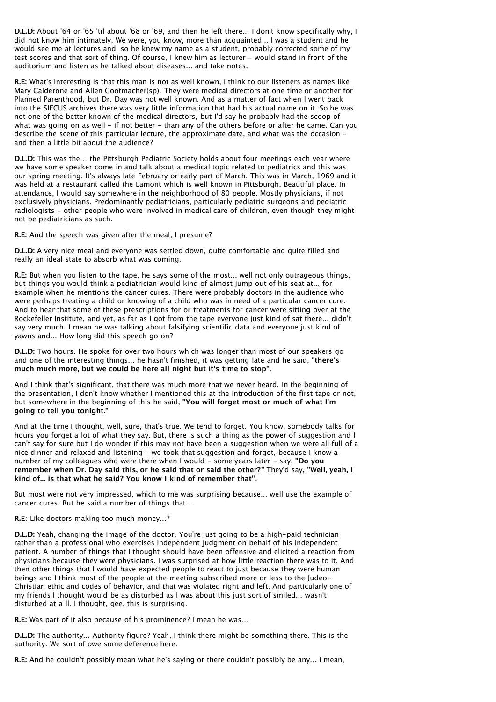**D.L.D:** About '64 or '65 'til about '68 or '69, and then he left there... I don't know specifically why, I did not know him intimately. We were, you know, more than acquainted... I was a student and he would see me at lectures and, so he knew my name as a student, probably corrected some of my test scores and that sort of thing. Of course, I knew him as lecturer - would stand in front of the auditorium and listen as he talked about diseases... and take notes.

**R.E:** What's interesting is that this man is not as well known, I think to our listeners as names like Mary Calderone and Allen Gootmacher(sp). They were medical directors at one time or another for Planned Parenthood, but Dr. Day was not well known. And as a matter of fact when I went back into the SIECUS archives there was very little information that had his actual name on it. So he was not one of the better known of the medical directors, but I'd say he probably had the scoop of what was going on as well – if not better – than any of the others before or after he came. Can you describe the scene of this particular lecture, the approximate date, and what was the occasion and then a little bit about the audience?

**D.L.D:** This was the… the Pittsburgh Pediatric Society holds about four meetings each year where we have some speaker come in and talk about a medical topic related to pediatrics and this was our spring meeting. It's always late February or early part of March. This was in March, 1969 and it was held at a restaurant called the Lamont which is well known in Pittsburgh. Beautiful place. In attendance, I would say somewhere in the neighborhood of 80 people. Mostly physicians, if not exclusively physicians. Predominantly pediatricians, particularly pediatric surgeons and pediatric radiologists - other people who were involved in medical care of children, even though they might not be pediatricians as such.

**R.E:** And the speech was given after the meal, I presume?

**D.L.D:** A very nice meal and everyone was settled down, quite comfortable and quite filled and really an ideal state to absorb what was coming.

**R.E:** But when you listen to the tape, he says some of the most... well not only outrageous things, but things you would think a pediatrician would kind of almost jump out of his seat at... for example when he mentions the cancer cures. There were probably doctors in the audience who were perhaps treating a child or knowing of a child who was in need of a particular cancer cure. And to hear that some of these prescriptions for or treatments for cancer were sitting over at the Rockefeller Institute, and yet, as far as I got from the tape everyone just kind of sat there... didn't say very much. I mean he was talking about falsifying scientific data and everyone just kind of yawns and... How long did this speech go on?

**D.L.D:** Two hours. He spoke for over two hours which was longer than most of our speakers go and one of the interesting things... he hasn't finished, it was getting late and he said, **"there's much much more, but we could be here all night but it's time to stop"**.

And I think that's significant, that there was much more that we never heard. In the beginning of the presentation, I don't know whether I mentioned this at the introduction of the first tape or not, but somewhere in the beginning of this he said, **"You will forget most or much of what I'm going to tell you tonight."**

And at the time I thought, well, sure, that's true. We tend to forget. You know, somebody talks for hours you forget a lot of what they say. But, there is such a thing as the power of suggestion and I can't say for sure but I do wonder if this may not have been a suggestion when we were all full of a nice dinner and relaxed and listening - we took that suggestion and forgot, because I know a number of my colleagues who were there when I would - some years later - say, **"Do you remember when Dr. Day said this, or he said that or said the other?"** They'd say**, "Well, yeah, I kind of... is that what he said? You know I kind of remember that"**.

But most were not very impressed, which to me was surprising because... well use the example of cancer cures. But he said a number of things that…

**R.E**: Like doctors making too much money...?

**D.L.D:** Yeah, changing the image of the doctor. You're just going to be a high-paid technician rather than a professional who exercises independent judgment on behalf of his independent patient. A number of things that I thought should have been offensive and elicited a reaction from physicians because they were physicians. I was surprised at how little reaction there was to it. And then other things that I would have expected people to react to just because they were human beings and I think most of the people at the meeting subscribed more or less to the Judeo-Christian ethic and codes of behavior, and that was violated right and left. And particularly one of my friends I thought would be as disturbed as I was about this just sort of smiled... wasn't disturbed at a ll. I thought, gee, this is surprising.

**R.E:** Was part of it also because of his prominence? I mean he was…

**D.L.D:** The authority... Authority figure? Yeah, I think there might be something there. This is the authority. We sort of owe some deference here.

**R.E:** And he couldn't possibly mean what he's saying or there couldn't possibly be any... I mean,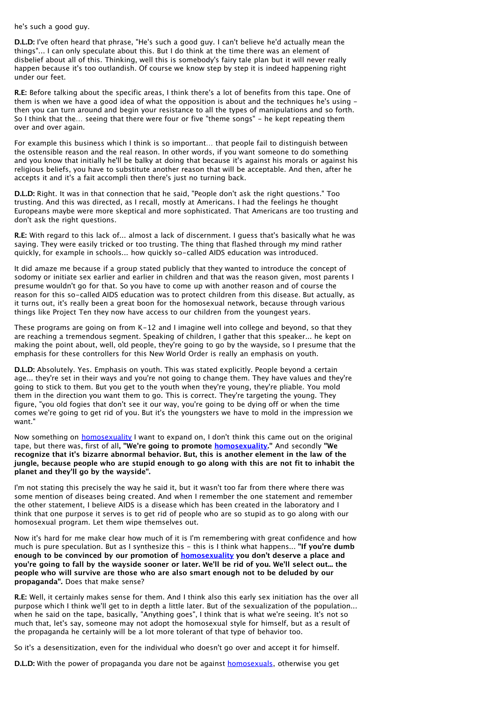he's such a good guy.

**D.L.D:** I've often heard that phrase, "He's such a good guy. I can't believe he'd actually mean the things"... I can only speculate about this. But I do think at the time there was an element of disbelief about all of this. Thinking, well this is somebody's fairy tale plan but it will never really happen because it's too outlandish. Of course we know step by step it is indeed happening right under our feet.

**R.E:** Before talking about the specific areas, I think there's a lot of benefits from this tape. One of them is when we have a good idea of what the opposition is about and the techniques he's using then you can turn around and begin your resistance to all the types of manipulations and so forth. So I think that the… seeing that there were four or five "theme songs" - he kept repeating them over and over again.

For example this business which I think is so important… that people fail to distinguish between the ostensible reason and the real reason. In other words, if you want someone to do something and you know that initially he'll be balky at doing that because it's against his morals or against his religious beliefs, you have to substitute another reason that will be acceptable. And then, after he accepts it and it's a fait accompli then there's just no turning back.

**D.L.D:** Right. It was in that connection that he said, "People don't ask the right questions." Too trusting. And this was directed, as I recall, mostly at Americans. I had the feelings he thought Europeans maybe were more skeptical and more sophisticated. That Americans are too trusting and don't ask the right questions.

**R.E:** With regard to this lack of... almost a lack of discernment. I guess that's basically what he was saying. They were easily tricked or too trusting. The thing that flashed through my mind rather quickly, for example in schools... how quickly so-called AIDS education was introduced.

It did amaze me because if a group stated publicly that they wanted to introduce the concept of sodomy or initiate sex earlier and earlier in children and that was the reason given, most parents I presume wouldn't go for that. So you have to come up with another reason and of course the reason for this so-called AIDS education was to protect children from this disease. But actually, as it turns out, it's really been a great boon for the homosexual network, because through various things like Project Ten they now have access to our children from the youngest years.

These programs are going on from K-12 and I imagine well into college and beyond, so that they are reaching a tremendous segment. Speaking of children, I gather that this speaker... he kept on making the point about, well, old people, they're going to go by the wayside, so I presume that the emphasis for these controllers for this New World Order is really an emphasis on youth.

**D.L.D:** Absolutely. Yes. Emphasis on youth. This was stated explicitly. People beyond a certain age... they're set in their ways and you're not going to change them. They have values and they're going to stick to them. But you get to the youth when they're young, they're pliable. You mold them in the direction you want them to go. This is correct. They're targeting the young. They figure, "you old fogies that don't see it our way, you're going to be dying off or when the time comes we're going to get rid of you. But it's the youngsters we have to mold in the impression we want."

Now something on [homosexuality](file:///../brainwashing/37.htm) I want to expand on, I don't think this came out on the original tape, but there was, first of all**, "We're going to promote [homosexuality.](file:///../brainwashing/37.htm)"** And secondly **"We recognize that it's bizarre abnormal behavior. But, this is another element in the law of the jungle, because people who are stupid enough to go along with this are not fit to inhabit the planet and they'll go by the wayside".**

I'm not stating this precisely the way he said it, but it wasn't too far from there where there was some mention of diseases being created. And when I remember the one statement and remember the other statement, I believe AIDS is a disease which has been created in the laboratory and I think that one purpose it serves is to get rid of people who are so stupid as to go along with our homosexual program. Let them wipe themselves out.

Now it's hard for me make clear how much of it is I'm remembering with great confidence and how much is pure speculation. But as I synthesize this - this is I think what happens... **"If you're dumb enough to be convinced by our promotion of [homosexuality](file:///../brainwashing/37.htm) you don't deserve a place and you're going to fall by the wayside sooner or later. We'll be rid of you. We'll select out... the people who will survive are those who are also smart enough not to be deluded by our propaganda".** Does that make sense?

**R.E:** Well, it certainly makes sense for them. And I think also this early sex initiation has the over all purpose which I think we'll get to in depth a little later. But of the sexualization of the population... when he said on the tape, basically, "Anything goes", I think that is what we're seeing. It's not so much that, let's say, someone may not adopt the homosexual style for himself, but as a result of the propaganda he certainly will be a lot more tolerant of that type of behavior too.

So it's a desensitization, even for the individual who doesn't go over and accept it for himself.

**D.L.D:** With the power of propaganda you dare not be against [homosexuals,](file:///../brainwashing/37.htm) otherwise you get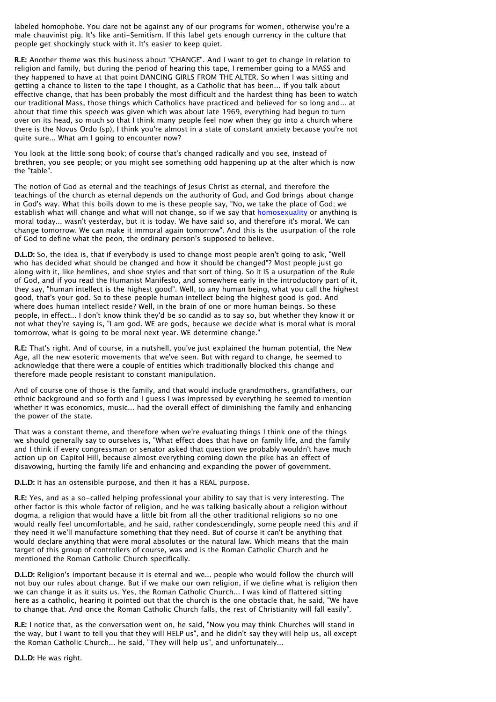labeled homophobe. You dare not be against any of our programs for women, otherwise you're a male chauvinist pig. It's like anti-Semitism. If this label gets enough currency in the culture that people get shockingly stuck with it. It's easier to keep quiet.

**R.E:** Another theme was this business about "CHANGE". And I want to get to change in relation to religion and family, but during the period of hearing this tape, I remember going to a MASS and they happened to have at that point DANCING GIRLS FROM THE ALTER. So when I was sitting and getting a chance to listen to the tape I thought, as a Catholic that has been... if you talk about effective change, that has been probably the most difficult and the hardest thing has been to watch our traditional Mass, those things which Catholics have practiced and believed for so long and... at about that time this speech was given which was about late 1969, everything had begun to turn over on its head, so much so that I think many people feel now when they go into a church where there is the Novus Ordo (sp), I think you're almost in a state of constant anxiety because you're not quite sure... What am I going to encounter now?

You look at the little song book; of course that's changed radically and you see, instead of brethren, you see people; or you might see something odd happening up at the alter which is now the "table".

The notion of God as eternal and the teachings of Jesus Christ as eternal, and therefore the teachings of the church as eternal depends on the authority of God, and God brings about change in God's way. What this boils down to me is these people say, "No, we take the place of God; we establish what will change and what will not change, so if we say that **homosexuality** or anything is moral today... wasn't yesterday, but it is today. We have said so, and therefore it's moral. We can change tomorrow. We can make it immoral again tomorrow". And this is the usurpation of the role of God to define what the peon, the ordinary person's supposed to believe.

**D.L.D:** So, the idea is, that if everybody is used to change most people aren't going to ask, "Well who has decided what should be changed and how it should be changed"? Most people just go along with it, like hemlines, and shoe styles and that sort of thing. So it IS a usurpation of the Rule of God, and if you read the Humanist Manifesto, and somewhere early in the introductory part of it, they say, "human intellect is the highest good". Well, to any human being, what you call the highest good, that's your god. So to these people human intellect being the highest good is god. And where does human intellect reside? Well, in the brain of one or more human beings. So these people, in effect... I don't know think they'd be so candid as to say so, but whether they know it or not what they're saying is, "I am god. WE are gods, because we decide what is moral what is moral tomorrow, what is going to be moral next year. WE determine change."

**R.E:** That's right. And of course, in a nutshell, you've just explained the human potential, the New Age, all the new esoteric movements that we've seen. But with regard to change, he seemed to acknowledge that there were a couple of entities which traditionally blocked this change and therefore made people resistant to constant manipulation.

And of course one of those is the family, and that would include grandmothers, grandfathers, our ethnic background and so forth and I guess I was impressed by everything he seemed to mention whether it was economics, music... had the overall effect of diminishing the family and enhancing the power of the state.

That was a constant theme, and therefore when we're evaluating things I think one of the things we should generally say to ourselves is, "What effect does that have on family life, and the family and I think if every congressman or senator asked that question we probably wouldn't have much action up on Capitol Hill, because almost everything coming down the pike has an effect of disavowing, hurting the family life and enhancing and expanding the power of government.

**D.L.D:** It has an ostensible purpose, and then it has a REAL purpose.

**R.E:** Yes, and as a so-called helping professional your ability to say that is very interesting. The other factor is this whole factor of religion, and he was talking basically about a religion without dogma, a religion that would have a little bit from all the other traditional religions so no one would really feel uncomfortable, and he said, rather condescendingly, some people need this and if they need it we'll manufacture something that they need. But of course it can't be anything that would declare anything that were moral absolutes or the natural law. Which means that the main target of this group of controllers of course, was and is the Roman Catholic Church and he mentioned the Roman Catholic Church specifically.

**D.L.D:** Religion's important because it is eternal and we... people who would follow the church will not buy our rules about change. But if we make our own religion, if we define what is religion then we can change it as it suits us. Yes, the Roman Catholic Church... I was kind of flattered sitting here as a catholic, hearing it pointed out that the church is the one obstacle that, he said, "We have to change that. And once the Roman Catholic Church falls, the rest of Christianity will fall easily".

**R.E:** I notice that, as the conversation went on, he said, "Now you may think Churches will stand in the way, but I want to tell you that they will HELP us", and he didn't say they will help us, all except the Roman Catholic Church... he said, "They will help us", and unfortunately...

**D.L.D:** He was right.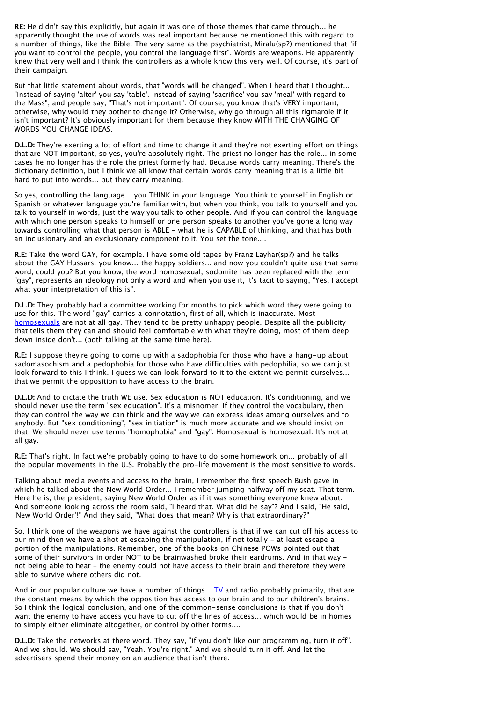**RE:** He didn't say this explicitly, but again it was one of those themes that came through... he apparently thought the use of words was real important because he mentioned this with regard to a number of things, like the Bible. The very same as the psychiatrist, Miralu(sp?) mentioned that "if you want to control the people, you control the language first". Words are weapons. He apparently knew that very well and I think the controllers as a whole know this very well. Of course, it's part of their campaign.

But that little statement about words, that "words will be changed". When I heard that I thought... "Instead of saying 'alter' you say 'table'. Instead of saying 'sacrifice' you say 'meal' with regard to the Mass", and people say, "That's not important". Of course, you know that's VERY important, otherwise, why would they bother to change it? Otherwise, why go through all this rigmarole if it isn't important? It's obviously important for them because they know WITH THE CHANGING OF WORDS YOU CHANGE IDEAS.

**D.L.D:** They're exerting a lot of effort and time to change it and they're not exerting effort on things that are NOT important, so yes, you're absolutely right. The priest no longer has the role... in some cases he no longer has the role the priest formerly had. Because words carry meaning. There's the dictionary definition, but I think we all know that certain words carry meaning that is a little bit hard to put into words... but they carry meaning.

So yes, controlling the language... you THINK in your language. You think to yourself in English or Spanish or whatever language you're familiar with, but when you think, you talk to yourself and you talk to yourself in words, just the way you talk to other people. And if you can control the language with which one person speaks to himself or one person speaks to another you've gone a long way towards controlling what that person is ABLE - what he is CAPABLE of thinking, and that has both an inclusionary and an exclusionary component to it. You set the tone....

**R.E:** Take the word GAY, for example. I have some old tapes by Franz Layhar(sp?) and he talks about the GAY Hussars, you know... the happy soldiers... and now you couldn't quite use that same word, could you? But you know, the word homosexual, sodomite has been replaced with the term "gay", represents an ideology not only a word and when you use it, it's tacit to saying, "Yes, I accept what your interpretation of this is".

**D.L.D:** They probably had a committee working for months to pick which word they were going to use for this. The word "gay" carries a connotation, first of all, which is inaccurate. Most [homosexuals](file:///../brainwashing/37.htm) are not at all gay. They tend to be pretty unhappy people. Despite all the publicity that tells them they can and should feel comfortable with what they're doing, most of them deep down inside don't... (both talking at the same time here).

**R.E:** I suppose they're going to come up with a sadophobia for those who have a hang-up about sadomasochism and a pedophobia for those who have difficulties with pedophilia, so we can just look forward to this I think. I quess we can look forward to it to the extent we permit ourselves... that we permit the opposition to have access to the brain.

**D.L.D:** And to dictate the truth WE use. Sex education is NOT education. It's conditioning, and we should never use the term "sex education". It's a misnomer. If they control the vocabulary, then they can control the way we can think and the way we can express ideas among ourselves and to anybody. But "sex conditioning", "sex initiation" is much more accurate and we should insist on that. We should never use terms "homophobia" and "gay". Homosexual is homosexual. It's not at all gay.

**R.E:** That's right. In fact we're probably going to have to do some homework on... probably of all the popular movements in the U.S. Probably the pro-life movement is the most sensitive to words.

Talking about media events and access to the brain, I remember the first speech Bush gave in which he talked about the New World Order... I remember jumping halfway off my seat. That term. Here he is, the president, saying New World Order as if it was something everyone knew about. And someone looking across the room said, "I heard that. What did he say"? And I said, "He said, 'New World Order'!" And they said, "What does that mean? Why is that extraordinary?"

So, I think one of the weapons we have against the controllers is that if we can cut off his access to our mind then we have a shot at escaping the manipulation, if not totally - at least escape a portion of the manipulations. Remember, one of the books on Chinese POWs pointed out that some of their survivors in order NOT to be brainwashed broke their eardrums. And in that way not being able to hear - the enemy could not have access to their brain and therefore they were able to survive where others did not.

And in our popular culture we have a number of things... [TV](file:///../brainwashing/13.htm) and radio probably primarily, that are the constant means by which the opposition has access to our brain and to our children's brains. So I think the logical conclusion, and one of the common-sense conclusions is that if you don't want the enemy to have access you have to cut off the lines of access... which would be in homes to simply either eliminate altogether, or control by other forms....

**D.L.D:** Take the networks at there word. They say, "if you don't like our programming, turn it off". And we should. We should say, "Yeah. You're right." And we should turn it off. And let the advertisers spend their money on an audience that isn't there.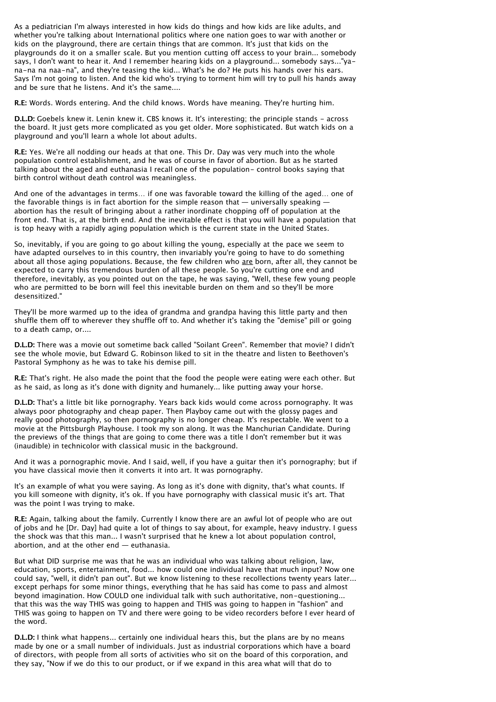As a pediatrician I'm always interested in how kids do things and how kids are like adults, and whether you're talking about International politics where one nation goes to war with another or kids on the playground, there are certain things that are common. It's just that kids on the playgrounds do it on a smaller scale. But you mention cutting off access to your brain... somebody says, I don't want to hear it. And I remember hearing kids on a playground... somebody says..."yana-na na naa-na", and they're teasing the kid... What's he do? He puts his hands over his ears. Says I'm not going to listen. And the kid who's trying to torment him will try to pull his hands away and be sure that he listens. And it's the same....

**R.E:** Words. Words entering. And the child knows. Words have meaning. They're hurting him.

**D.L.D:** Goebels knew it. Lenin knew it. CBS knows it. It's interesting; the principle stands - across the board. It just gets more complicated as you get older. More sophisticated. But watch kids on a playground and you'll learn a whole lot about adults.

**R.E:** Yes. We're all nodding our heads at that one. This Dr. Day was very much into the whole population control establishment, and he was of course in favor of abortion. But as he started talking about the aged and euthanasia I recall one of the population- control books saying that birth control without death control was meaningless.

And one of the advantages in terms… if one was favorable toward the killing of the aged… one of the favorable things is in fact abortion for the simple reason that  $-$  universally speaking  $$ abortion has the result of bringing about a rather inordinate chopping off of population at the front end. That is, at the birth end. And the inevitable effect is that you will have a population that is top heavy with a rapidly aging population which is the current state in the United States.

So, inevitably, if you are going to go about killing the young, especially at the pace we seem to have adapted ourselves to in this country, then invariably you're going to have to do something about all those aging populations. Because, the few children who are born, after all, they cannot be expected to carry this tremendous burden of all these people. So you're cutting one end and therefore, inevitably, as you pointed out on the tape, he was saying, "Well, these few young people who are permitted to be born will feel this inevitable burden on them and so they'll be more desensitized."

They'll be more warmed up to the idea of grandma and grandpa having this little party and then shuffle them off to wherever they shuffle off to. And whether it's taking the "demise" pill or going to a death camp, or....

**D.L.D:** There was a movie out sometime back called "Soilant Green". Remember that movie? I didn't see the whole movie, but Edward G. Robinson liked to sit in the theatre and listen to Beethoven's Pastoral Symphony as he was to take his demise pill.

**R.E:** That's right. He also made the point that the food the people were eating were each other. But as he said, as long as it's done with dignity and humanely... like putting away your horse.

**D.L.D:** That's a little bit like pornography. Years back kids would come across pornography. It was always poor photography and cheap paper. Then Playboy came out with the glossy pages and really good photography, so then pornography is no longer cheap. It's respectable. We went to a movie at the Pittsburgh Playhouse. I took my son along. It was the Manchurian Candidate. During the previews of the things that are going to come there was a title I don't remember but it was (inaudible) in technicolor with classical music in the background.

And it was a pornographic movie. And I said, well, if you have a guitar then it's pornography; but if you have classical movie then it converts it into art. It was pornography.

It's an example of what you were saying. As long as it's done with dignity, that's what counts. If you kill someone with dignity, it's ok. If you have pornography with classical music it's art. That was the point I was trying to make.

**R.E:** Again, talking about the family. Currently I know there are an awful lot of people who are out of jobs and he [Dr. Day] had quite a lot of things to say about, for example, heavy industry. I guess the shock was that this man... I wasn't surprised that he knew a lot about population control, abortion, and at the other end — euthanasia.

But what DID surprise me was that he was an individual who was talking about religion, law, education, sports, entertainment, food... how could one individual have that much input? Now one could say, "well, it didn't pan out". But we know listening to these recollections twenty years later... except perhaps for some minor things, everything that he has said has come to pass and almost beyond imagination. How COULD one individual talk with such authoritative, non-questioning... that this was the way THIS was going to happen and THIS was going to happen in "fashion" and THIS was going to happen on TV and there were going to be video recorders before I ever heard of the word.

**D.L.D:** I think what happens... certainly one individual hears this, but the plans are by no means made by one or a small number of individuals. Just as industrial corporations which have a board of directors, with people from all sorts of activities who sit on the board of this corporation, and they say, "Now if we do this to our product, or if we expand in this area what will that do to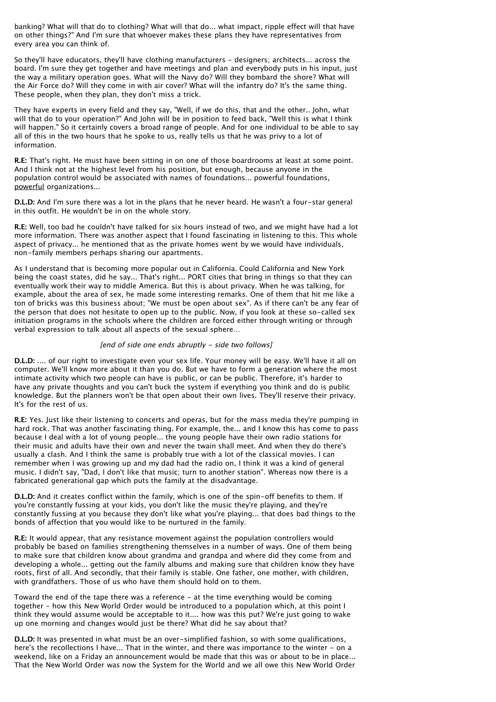banking? What will that do to clothing? What will that do... what impact, ripple effect will that have on other things?" And I'm sure that whoever makes these plans they have representatives from every area you can think of.

So they'll have educators, they'll have clothing manufacturers - designers; architects... across the board. I'm sure they get together and have meetings and plan and everybody puts in his input, just the way a military operation goes. What will the Navy do? Will they bombard the shore? What will the Air Force do? Will they come in with air cover? What will the infantry do? It's the same thing. These people, when they plan, they don't miss a trick.

They have experts in every field and they say, "Well, if we do this, that and the other.. John, what will that do to your operation?" And John will be in position to feed back, "Well this is what I think will happen." So it certainly covers a broad range of people. And for one individual to be able to say all of this in the two hours that he spoke to us, really tells us that he was privy to a lot of information.

**R.E:** That's right. He must have been sitting in on one of those boardrooms at least at some point. And I think not at the highest level from his position, but enough, because anyone in the population control would be associated with names of foundations... powerful foundations, powerful organizations...

**D.L.D:** And I'm sure there was a lot in the plans that he never heard. He wasn't a four-star general in this outfit. He wouldn't be in on the whole story.

**R.E:** Well, too bad he couldn't have talked for six hours instead of two, and we might have had a lot more information. There was another aspect that I found fascinating in listening to this. This whole aspect of privacy... he mentioned that as the private homes went by we would have individuals, non-family members perhaps sharing our apartments.

As I understand that is becoming more popular out in California. Could California and New York being the coast states, did he say... That's right... PORT cities that bring in things so that they can eventually work their way to middle America. But this is about privacy. When he was talking, for example, about the area of sex, he made some interesting remarks. One of them that hit me like a ton of bricks was this business about; "We must be open about sex". As if there can't be any fear of the person that does not hesitate to open up to the public. Now, if you look at these so-called sex initiation programs in the schools where the children are forced either through writing or through verbal expression to talk about all aspects of the sexual sphere…

#### [end of side one ends abruptly - side two follows]

**D.L.D:** .... of our right to investigate even your sex life. Your money will be easy. We'll have it all on computer. We'll know more about it than you do. But we have to form a generation where the most intimate activity which two people can have is public, or can be public. Therefore, it's harder to have any private thoughts and you can't buck the system if everything you think and do is public knowledge. But the planners won't be that open about their own lives. They'll reserve their privacy. It's for the rest of us.

**R.E:** Yes. Just like their listening to concerts and operas, but for the mass media they're pumping in hard rock. That was another fascinating thing. For example, the... and I know this has come to pass because I deal with a lot of young people... the young people have their own radio stations for their music and adults have their own and never the twain shall meet. And when they do there's usually a clash. And I think the same is probably true with a lot of the classical movies. I can remember when I was growing up and my dad had the radio on, I think it was a kind of general music. I didn't say, "Dad, I don't like that music; turn to another station". Whereas now there is a fabricated generational gap which puts the family at the disadvantage.

**D.L.D:** And it creates conflict within the family, which is one of the spin-off benefits to them. If you're constantly fussing at your kids, you don't like the music they're playing, and they're constantly fussing at you because they don't like what you're playing... that does bad things to the bonds of affection that you would like to be nurtured in the family.

**R.E:** It would appear, that any resistance movement against the population controllers would probably be based on families strengthening themselves in a number of ways. One of them being to make sure that children know about grandma and grandpa and where did they come from and developing a whole... getting out the family albums and making sure that children know they have roots, first of all. And secondly, that their family is stable. One father, one mother, with children, with grandfathers. Those of us who have them should hold on to them.

Toward the end of the tape there was a reference - at the time everything would be coming together - how this New World Order would be introduced to a population which, at this point I think they would assume would be acceptable to it.... how was this put? We're just going to wake up one morning and changes would just be there? What did he say about that?

**D.L.D:** It was presented in what must be an over-simplified fashion, so with some qualifications, here's the recollections I have... That in the winter, and there was importance to the winter - on a weekend, like on a Friday an announcement would be made that this was or about to be in place... That the New World Order was now the System for the World and we all owe this New World Order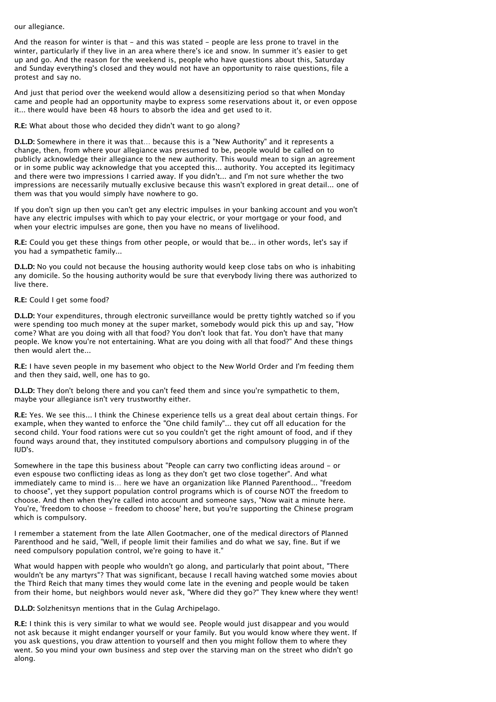#### our allegiance.

And the reason for winter is that - and this was stated - people are less prone to travel in the winter, particularly if they live in an area where there's ice and snow. In summer it's easier to get up and go. And the reason for the weekend is, people who have questions about this, Saturday and Sunday everything's closed and they would not have an opportunity to raise questions, file a protest and say no.

And just that period over the weekend would allow a desensitizing period so that when Monday came and people had an opportunity maybe to express some reservations about it, or even oppose it... there would have been 48 hours to absorb the idea and get used to it.

#### **R.E:** What about those who decided they didn't want to go along?

**D.L.D:** Somewhere in there it was that… because this is a "New Authority" and it represents a change, then, from where your allegiance was presumed to be, people would be called on to publicly acknowledge their allegiance to the new authority. This would mean to sign an agreement or in some public way acknowledge that you accepted this... authority. You accepted its legitimacy and there were two impressions I carried away. If you didn't... and I'm not sure whether the two impressions are necessarily mutually exclusive because this wasn't explored in great detail... one of them was that you would simply have nowhere to go.

If you don't sign up then you can't get any electric impulses in your banking account and you won't have any electric impulses with which to pay your electric, or your mortgage or your food, and when your electric impulses are gone, then you have no means of livelihood.

**R.E:** Could you get these things from other people, or would that be... in other words, let's say if you had a sympathetic family...

**D.L.D:** No you could not because the housing authority would keep close tabs on who is inhabiting any domicile. So the housing authority would be sure that everybody living there was authorized to live there.

#### **R.E:** Could I get some food?

**D.L.D:** Your expenditures, through electronic surveillance would be pretty tightly watched so if you were spending too much money at the super market, somebody would pick this up and say, "How come? What are you doing with all that food? You don't look that fat. You don't have that many people. We know you're not entertaining. What are you doing with all that food?" And these things then would alert the...

**R.E:** I have seven people in my basement who object to the New World Order and I'm feeding them and then they said, well, one has to go.

**D.L.D:** They don't belong there and you can't feed them and since you're sympathetic to them, maybe your allegiance isn't very trustworthy either.

**R.E:** Yes. We see this... I think the Chinese experience tells us a great deal about certain things. For example, when they wanted to enforce the "One child family"... they cut off all education for the second child. Your food rations were cut so you couldn't get the right amount of food, and if they found ways around that, they instituted compulsory abortions and compulsory plugging in of the IUD's.

Somewhere in the tape this business about "People can carry two conflicting ideas around - or even espouse two conflicting ideas as long as they don't get two close together". And what immediately came to mind is… here we have an organization like Planned Parenthood... "freedom to choose", yet they support population control programs which is of course NOT the freedom to choose. And then when they're called into account and someone says, "Now wait a minute here. You're, 'freedom to choose - freedom to choose' here, but you're supporting the Chinese program which is compulsory.

I remember a statement from the late Allen Gootmacher, one of the medical directors of Planned Parenthood and he said, "Well, if people limit their families and do what we say, fine. But if we need compulsory population control, we're going to have it."

What would happen with people who wouldn't go along, and particularly that point about, "There wouldn't be any martyrs"? That was significant, because I recall having watched some movies about the Third Reich that many times they would come late in the evening and people would be taken from their home, but neighbors would never ask, "Where did they go?" They knew where they went!

**D.L.D:** Solzhenitsyn mentions that in the Gulag Archipelago.

**R.E:** I think this is very similar to what we would see. People would just disappear and you would not ask because it might endanger yourself or your family. But you would know where they went. If you ask questions, you draw attention to yourself and then you might follow them to where they went. So you mind your own business and step over the starving man on the street who didn't go along.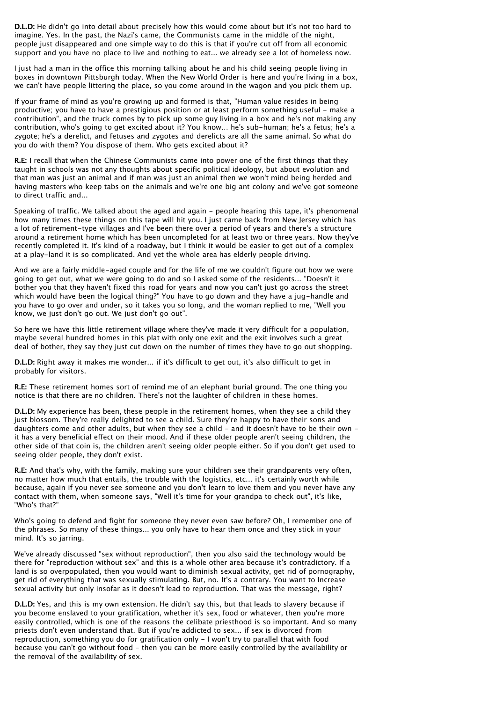**D.L.D:** He didn't go into detail about precisely how this would come about but it's not too hard to imagine. Yes. In the past, the Nazi's came, the Communists came in the middle of the night, people just disappeared and one simple way to do this is that if you're cut off from all economic support and you have no place to live and nothing to eat... we already see a lot of homeless now.

I just had a man in the office this morning talking about he and his child seeing people living in boxes in downtown Pittsburgh today. When the New World Order is here and you're living in a box, we can't have people littering the place, so you come around in the wagon and you pick them up.

If your frame of mind as you're growing up and formed is that, "Human value resides in being productive; you have to have a prestigious position or at least perform something useful - make a contribution", and the truck comes by to pick up some guy living in a box and he's not making any contribution, who's going to get excited about it? You know… he's sub-human; he's a fetus; he's a zygote; he's a derelict, and fetuses and zygotes and derelicts are all the same animal. So what do you do with them? You dispose of them. Who gets excited about it?

**R.E:** I recall that when the Chinese Communists came into power one of the first things that they taught in schools was not any thoughts about specific political ideology, but about evolution and that man was just an animal and if man was just an animal then we won't mind being herded and having masters who keep tabs on the animals and we're one big ant colony and we've got someone to direct traffic and...

Speaking of traffic. We talked about the aged and again - people hearing this tape, it's phenomenal how many times these things on this tape will hit you. I just came back from New Jersey which has a lot of retirement-type villages and I've been there over a period of years and there's a structure around a retirement home which has been uncompleted for at least two or three years. Now they've recently completed it. It's kind of a roadway, but I think it would be easier to get out of a complex at a play-land it is so complicated. And yet the whole area has elderly people driving.

And we are a fairly middle-aged couple and for the life of me we couldn't figure out how we were going to get out, what we were going to do and so I asked some of the residents... "Doesn't it bother you that they haven't fixed this road for years and now you can't just go across the street which would have been the logical thing?" You have to go down and they have a jug-handle and you have to go over and under, so it takes you so long, and the woman replied to me, "Well you know, we just don't go out. We just don't go out".

So here we have this little retirement village where they've made it very difficult for a population, maybe several hundred homes in this plat with only one exit and the exit involves such a great deal of bother, they say they just cut down on the number of times they have to go out shopping.

**D.L.D:** Right away it makes me wonder... if it's difficult to get out, it's also difficult to get in probably for visitors.

**R.E:** These retirement homes sort of remind me of an elephant burial ground. The one thing you notice is that there are no children. There's not the laughter of children in these homes.

**D.L.D:** My experience has been, these people in the retirement homes, when they see a child they just blossom. They're really delighted to see a child. Sure they're happy to have their sons and daughters come and other adults, but when they see a child - and it doesn't have to be their own it has a very beneficial effect on their mood. And if these older people aren't seeing children, the other side of that coin is, the children aren't seeing older people either. So if you don't get used to seeing older people, they don't exist.

**R.E:** And that's why, with the family, making sure your children see their grandparents very often, no matter how much that entails, the trouble with the logistics, etc... it's certainly worth while because, again if you never see someone and you don't learn to love them and you never have any contact with them, when someone says, "Well it's time for your grandpa to check out", it's like, "Who's that?"

Who's going to defend and fight for someone they never even saw before? Oh, I remember one of the phrases. So many of these things... you only have to hear them once and they stick in your mind. It's so jarring.

We've already discussed "sex without reproduction", then you also said the technology would be there for "reproduction without sex" and this is a whole other area because it's contradictory. If a land is so overpopulated, then you would want to diminish sexual activity, get rid of pornography, get rid of everything that was sexually stimulating. But, no. It's a contrary. You want to Increase sexual activity but only insofar as it doesn't lead to reproduction. That was the message, right?

**D.L.D:** Yes, and this is my own extension. He didn't say this, but that leads to slavery because if you become enslaved to your gratification, whether it's sex, food or whatever, then you're more easily controlled, which is one of the reasons the celibate priesthood is so important. And so many priests don't even understand that. But if you're addicted to sex... if sex is divorced from reproduction, something you do for gratification only - I won't try to parallel that with food because you can't go without food - then you can be more easily controlled by the availability or the removal of the availability of sex.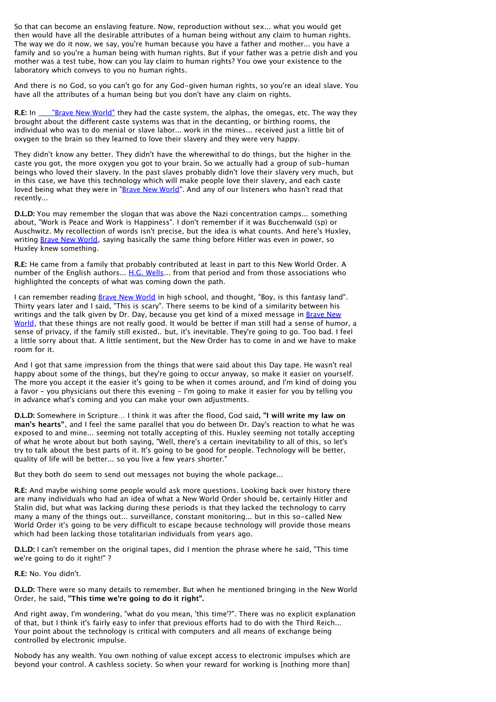So that can become an enslaving feature. Now, reproduction without sex... what you would get then would have all the desirable attributes of a human being without any claim to human rights. The way we do it now, we say, you're human because you have a father and mother... you have a family and so you're a human being with human rights. But if your father was a petrie dish and you mother was a test tube, how can you lay claim to human rights? You owe your existence to the laboratory which conveys to you no human rights.

And there is no God, so you can't go for any God-given human rights, so you're an ideal slave. You have all the attributes of a human being but you don't have any claim on rights.

**R.E:** In ["Brave New World"](file:///../books/Aldous%20Huxley%20-%20Brave%20New%20World.pdf) they had the caste system, the alphas, the omegas, etc. The way they brought about the different caste systems was that in the decanting, or birthing rooms, the individual who was to do menial or slave labor... work in the mines... received just a little bit of oxygen to the brain so they learned to love their slavery and they were very happy.

They didn't know any better. They didn't have the wherewithal to do things, but the higher in the caste you got, the more oxygen you got to your brain. So we actually had a group of sub-human beings who loved their slavery. In the past slaves probably didn't love their slavery very much, but in this case, we have this technology which will make people love their slavery, and each caste loved being what they were in "[Brave New World"](file:///../books/Aldous%20Huxley%20-%20Brave%20New%20World.pdf). And any of our listeners who hasn't read that recently...

**D.L.D:** You may remember the slogan that was above the Nazi concentration camps... something about, "Work is Peace and Work is Happiness". I don't remember if it was Bucchenwald (sp) or Auschwitz. My recollection of words isn't precise, but the idea is what counts. And here's Huxley, writing **Brave New World**, saying basically the same thing before Hitler was even in power, so Huxley knew something.

**R.E:** He came from a family that probably contributed at least in part to this New World Order. A number of the English authors... [H.G. Wells](file:///../books/The_New_World_Order.htm)... from that period and from those associations who highlighted the concepts of what was coming down the path.

I can remember reading **Brave New World** in high school, and thought, "Boy, is this fantasy land". Thirty years later and I said, "This is scary". There seems to be kind of a similarity between his writings and the talk given by Dr. Day, because you get kind of a mixed message in **Brave New** [World](file:///../books/Aldous%20Huxley%20-%20Brave%20New%20World.pdf), that these things are not really good. It would be better if man still had a sense of humor, a sense of privacy, if the family still existed.. but, it's inevitable. They're going to go. Too bad. I feel a little sorry about that. A little sentiment, but the New Order has to come in and we have to make room for it.

And I got that same impression from the things that were said about this Day tape. He wasn't real happy about some of the things, but they're going to occur anyway, so make it easier on yourself. The more you accept it the easier it's going to be when it comes around, and I'm kind of doing you a favor - you physicians out there this evening - I'm going to make it easier for you by telling you in advance what's coming and you can make your own adjustments.

**D.L.D:** Somewhere in Scripture… I think it was after the flood, God said**, "I will write my law on man's hearts"**, and I feel the same parallel that you do between Dr. Day's reaction to what he was exposed to and mine... seeming not totally accepting of this. Huxley seeming not totally accepting of what he wrote about but both saying, "Well, there's a certain inevitability to all of this, so let's try to talk about the best parts of it. It's going to be good for people. Technology will be better, quality of life will be better... so you live a few years shorter."

But they both do seem to send out messages not buying the whole package...

**R.E:** And maybe wishing some people would ask more questions. Looking back over history there are many individuals who had an idea of what a New World Order should be, certainly Hitler and Stalin did, but what was lacking during these periods is that they lacked the technology to carry many a many of the things out... surveillance, constant monitoring... but in this so-called New World Order it's going to be very difficult to escape because technology will provide those means which had been lacking those totalitarian individuals from years ago.

**D.L.D:** I can't remember on the original tapes, did I mention the phrase where he said, "This time we're going to do it right!" ?

**R.E:** No. You didn't.

**D.L.D:** There were so many details to remember. But when he mentioned bringing in the New World Order, he said, **"This time we're going to do it right".**

And right away, I'm wondering, "what do you mean, 'this time'?". There was no explicit explanation of that, but I think it's fairly easy to infer that previous efforts had to do with the Third Reich... Your point about the technology is critical with computers and all means of exchange being controlled by electronic impulse.

Nobody has any wealth. You own nothing of value except access to electronic impulses which are beyond your control. A cashless society. So when your reward for working is [nothing more than]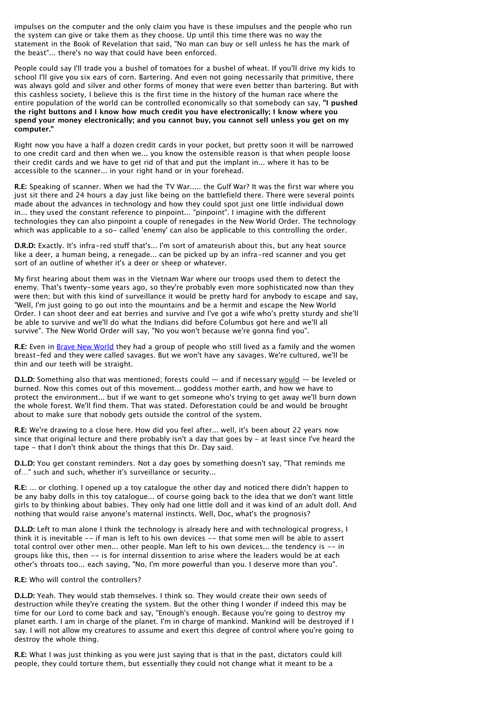impulses on the computer and the only claim you have is these impulses and the people who run the system can give or take them as they choose. Up until this time there was no way the statement in the Book of Revelation that said, "No man can buy or sell unless he has the mark of the beast"... there's no way that could have been enforced.

People could say I'll trade you a bushel of tomatoes for a bushel of wheat. If you'll drive my kids to school I'll give you six ears of corn. Bartering. And even not going necessarily that primitive, there was always gold and silver and other forms of money that were even better than bartering. But with this cashless society, I believe this is the first time in the history of the human race where the entire population of the world can be controlled economically so that somebody can say, **"I pushed the right buttons and I know how much credit you have electronically; I know where you spend your money electronically; and you cannot buy, you cannot sell unless you get on my computer."**

Right now you have a half a dozen credit cards in your pocket, but pretty soon it will be narrowed to one credit card and then when we... you know the ostensible reason is that when people loose their credit cards and we have to get rid of that and put the implant in... where it has to be accessible to the scanner... in your right hand or in your forehead.

**R.E:** Speaking of scanner. When we had the TV War..... the Gulf War? It was the first war where you just sit there and 24 hours a day just like being on the battlefield there. There were several points made about the advances in technology and how they could spot just one little individual down in... they used the constant reference to pinpoint... "pinpoint". I imagine with the different technologies they can also pinpoint a couple of renegades in the New World Order. The technology which was applicable to a so- called 'enemy' can also be applicable to this controlling the order.

**D.R.D:** Exactly. It's infra-red stuff that's... I'm sort of amateurish about this, but any heat source like a deer, a human being, a renegade... can be picked up by an infra-red scanner and you get sort of an outline of whether it's a deer or sheep or whatever.

My first hearing about them was in the Vietnam War where our troops used them to detect the enemy. That's twenty-some years ago, so they're probably even more sophisticated now than they were then; but with this kind of surveillance it would be pretty hard for anybody to escape and say, "Well, I'm just going to go out into the mountains and be a hermit and escape the New World Order. I can shoot deer and eat berries and survive and I've got a wife who's pretty sturdy and she'll be able to survive and we'll do what the Indians did before Columbus got here and we'll all survive". The New World Order will say, "No you won't because we're gonna find you".

R.E: Even in **Brave New World** they had a group of people who still lived as a family and the women breast-fed and they were called savages. But we won't have any savages. We're cultured, we'll be thin and our teeth will be straight.

**D.L.D:** Something also that was mentioned; forests could — and if necessary would — be leveled or burned. Now this comes out of this movement... goddess mother earth, and how we have to protect the environment... but if we want to get someone who's trying to get away we'll burn down the whole forest. We'll find them. That was stated. Deforestation could be and would be brought about to make sure that nobody gets outside the control of the system.

**R.E:** We're drawing to a close here. How did you feel after... well, it's been about 22 years now since that original lecture and there probably isn't a day that goes by - at least since I've heard the tape - that I don't think about the things that this Dr. Day said.

**D.L.D:** You get constant reminders. Not a day goes by something doesn't say, "That reminds me of…" such and such, whether it's surveillance or security...

**R.E:** ... or clothing. I opened up a toy catalogue the other day and noticed there didn't happen to be any baby dolls in this toy catalogue... of course going back to the idea that we don't want little girls to by thinking about babies. They only had one little doll and it was kind of an adult doll. And nothing that would raise anyone's maternal instincts. Well, Doc, what's the prognosis?

**D.L.D:** Left to man alone I think the technology is already here and with technological progress, I think it is inevitable -- if man is left to his own devices -- that some men will be able to assert total control over other men... other people. Man left to his own devices... the tendency is -- in groups like this, then -- is for internal dissention to arise where the leaders would be at each other's throats too... each saying, "No, I'm more powerful than you. I deserve more than you".

#### **R.E:** Who will control the controllers?

**D.L.D:** Yeah. They would stab themselves. I think so. They would create their own seeds of destruction while they're creating the system. But the other thing I wonder if indeed this may be time for our Lord to come back and say, "Enough's enough. Because you're going to destroy my planet earth. I am in charge of the planet. I'm in charge of mankind. Mankind will be destroyed if I say. I will not allow my creatures to assume and exert this degree of control where you're going to destroy the whole thing.

**R.E:** What I was just thinking as you were just saying that is that in the past, dictators could kill people, they could torture them, but essentially they could not change what it meant to be a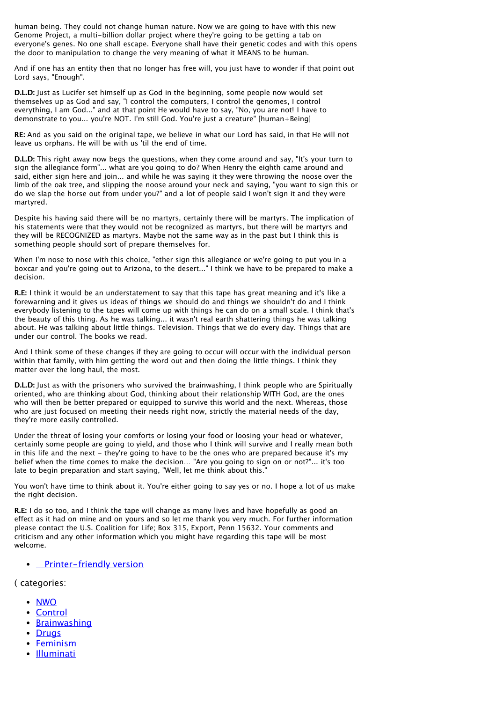human being. They could not change human nature. Now we are going to have with this new Genome Project, a multi-billion dollar project where they're going to be getting a tab on everyone's genes. No one shall escape. Everyone shall have their genetic codes and with this opens the door to manipulation to change the very meaning of what it MEANS to be human.

And if one has an entity then that no longer has free will, you just have to wonder if that point out Lord says, "Enough".

**D.L.D:** Just as Lucifer set himself up as God in the beginning, some people now would set themselves up as God and say, "I control the computers, I control the genomes, I control everything, I am God..." and at that point He would have to say, "No, you are not! I have to demonstrate to you... you're NOT. I'm still God. You're just a creature" [human+Being]

**RE:** And as you said on the original tape, we believe in what our Lord has said, in that He will not leave us orphans. He will be with us 'til the end of time.

**D.L.D:** This right away now begs the questions, when they come around and say, "It's your turn to sign the allegiance form"... what are you going to do? When Henry the eighth came around and said, either sign here and join... and while he was saying it they were throwing the noose over the limb of the oak tree, and slipping the noose around your neck and saying, "you want to sign this or do we slap the horse out from under you?" and a lot of people said I won't sign it and they were martyred.

Despite his having said there will be no martyrs, certainly there will be martyrs. The implication of his statements were that they would not be recognized as martyrs, but there will be martyrs and they will be RECOGNIZED as martyrs. Maybe not the same way as in the past but I think this is something people should sort of prepare themselves for.

When I'm nose to nose with this choice, "ether sign this allegiance or we're going to put you in a boxcar and you're going out to Arizona, to the desert..." I think we have to be prepared to make a decision.

**R.E:** I think it would be an understatement to say that this tape has great meaning and it's like a forewarning and it gives us ideas of things we should do and things we shouldn't do and I think everybody listening to the tapes will come up with things he can do on a small scale. I think that's the beauty of this thing. As he was talking... it wasn't real earth shattering things he was talking about. He was talking about little things. Television. Things that we do every day. Things that are under our control. The books we read.

And I think some of these changes if they are going to occur will occur with the individual person within that family, with him getting the word out and then doing the little things. I think they matter over the long haul, the most.

**D.L.D:** Just as with the prisoners who survived the brainwashing, I think people who are Spiritually oriented, who are thinking about God, thinking about their relationship WITH God, are the ones who will then be better prepared or equipped to survive this world and the next. Whereas, those who are just focused on meeting their needs right now, strictly the material needs of the day, they're more easily controlled.

Under the threat of losing your comforts or losing your food or loosing your head or whatever, certainly some people are going to yield, and those who I think will survive and I really mean both in this life and the next - they're going to have to be the ones who are prepared because it's my belief when the time comes to make the decision… "Are you going to sign on or not?"... it's too late to begin preparation and start saying, "Well, let me think about this."

You won't have time to think about it. You're either going to say yes or no. I hope a lot of us make the right decision.

**R.E:** I do so too, and I think the tape will change as many lives and have hopefully as good an effect as it had on mine and on yours and so let me thank you very much. For further information please contact the U.S. Coalition for Life; Box 315, Export, Penn 15632. Your comments and criticism and any other information which you might have regarding this tape will be most welcome.

#### • [Printer-friendly version](file:///print/nwo/barbarians)

#### ( categories:

- [NWO](file:///nwo)
- [Control](file:///control)
- [Brainwashing](file:///brainwashing)
- [Drugs](file:///drugs)
- [Feminism](file:///feminism)
- [Illuminati](file:///illuminati)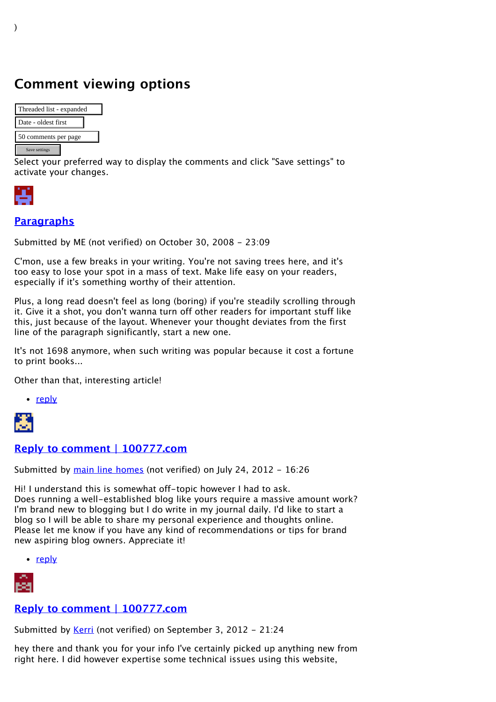# **Comment viewing options**

| Threaded list - expanded |  |
|--------------------------|--|
| Date - oldest first      |  |
| 50 comments per page     |  |
| Save settings            |  |

Select your preferred way to display the comments and click "Save settings" to activate your changes.



# **[Paragraphs](file:///nwo/barbarians#comment-5432)**

Submitted by ME (not verified) on October 30, 2008 - 23:09

C'mon, use a few breaks in your writing. You're not saving trees here, and it's too easy to lose your spot in a mass of text. Make life easy on your readers, especially if it's something worthy of their attention.

Plus, a long read doesn't feel as long (boring) if you're steadily scrolling through it. Give it a shot, you don't wanna turn off other readers for important stuff like this, just because of the layout. Whenever your thought deviates from the first line of the paragraph significantly, start a new one.

It's not 1698 anymore, when such writing was popular because it cost a fortune to print books...

Other than that, interesting article!

• [reply](file:///comment/reply/19/5432)



# **[Reply to comment | 100777.com](file:///nwo/barbarians#comment-7631)**

Submitted by [main line homes](http://www.livingonthemainline.com/) (not verified) on July 24, 2012 - 16:26

Hi! I understand this is somewhat off-topic however I had to ask. Does running a well-established blog like yours require a massive amount work? I'm brand new to blogging but I do write in my journal daily. I'd like to start a blog so I will be able to share my personal experience and thoughts online. Please let me know if you have any kind of recommendations or tips for brand new aspiring blog owners. Appreciate it!

• [reply](file:///comment/reply/19/7631)



# **[Reply to comment | 100777.com](file:///nwo/barbarians#comment-7670)**

Submitted by [Kerri](http://nject.org/) (not verified) on September 3, 2012 - 21:24

hey there and thank you for your info I've certainly picked up anything new from right here. I did however expertise some technical issues using this website,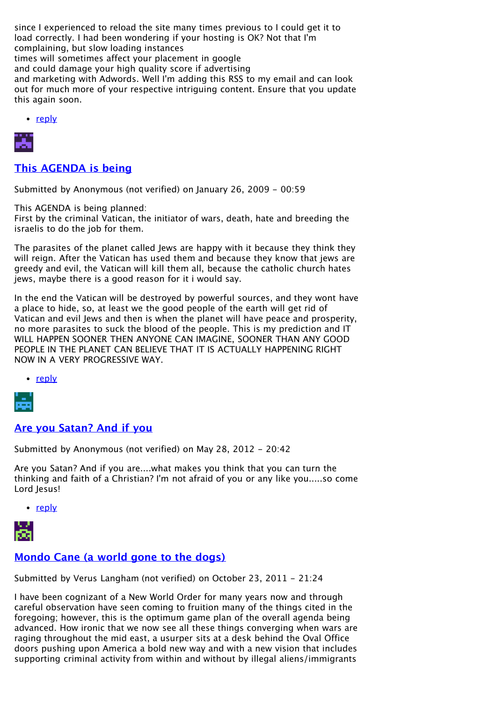since I experienced to reload the site many times previous to I could get it to load correctly. I had been wondering if your hosting is OK? Not that I'm complaining, but slow loading instances times will sometimes affect your placement in google and could damage your high quality score if advertising and marketing with Adwords. Well I'm adding this RSS to my email and can look out for much more of your respective intriguing content. Ensure that you update this again soon.

• [reply](file:///comment/reply/19/7670)



## **[This AGENDA is being](file:///nwo/barbarians#comment-5674)**

Submitted by Anonymous (not verified) on January 26, 2009 - 00:59

This AGENDA is being planned:

First by the criminal Vatican, the initiator of wars, death, hate and breeding the israelis to do the job for them.

The parasites of the planet called Jews are happy with it because they think they will reign. After the Vatican has used them and because they know that jews are greedy and evil, the Vatican will kill them all, because the catholic church hates jews, maybe there is a good reason for it i would say.

In the end the Vatican will be destroyed by powerful sources, and they wont have a place to hide, so, at least we the good people of the earth will get rid of Vatican and evil Jews and then is when the planet will have peace and prosperity, no more parasites to suck the blood of the people. This is my prediction and IT WILL HAPPEN SOONER THEN ANYONE CAN IMAGINE, SOONER THAN ANY GOOD PEOPLE IN THE PLANET CAN BELIEVE THAT IT IS ACTUALLY HAPPENING RIGHT NOW IN A VERY PROGRESSIVE WAY.

• [reply](file:///comment/reply/19/5674)



## **[Are you Satan? And if you](file:///nwo/barbarians#comment-7564)**

Submitted by Anonymous (not verified) on May 28, 2012 - 20:42

Are you Satan? And if you are....what makes you think that you can turn the thinking and faith of a Christian? I'm not afraid of you or any like you.....so come Lord lesus!

• [reply](file:///comment/reply/19/7564)



## **[Mondo Cane \(a world gone to the dogs\)](file:///nwo/barbarians#comment-7206)**

Submitted by Verus Langham (not verified) on October 23, 2011 - 21:24

I have been cognizant of a New World Order for many years now and through careful observation have seen coming to fruition many of the things cited in the foregoing; however, this is the optimum game plan of the overall agenda being advanced. How ironic that we now see all these things converging when wars are raging throughout the mid east, a usurper sits at a desk behind the Oval Office doors pushing upon America a bold new way and with a new vision that includes supporting criminal activity from within and without by illegal aliens/immigrants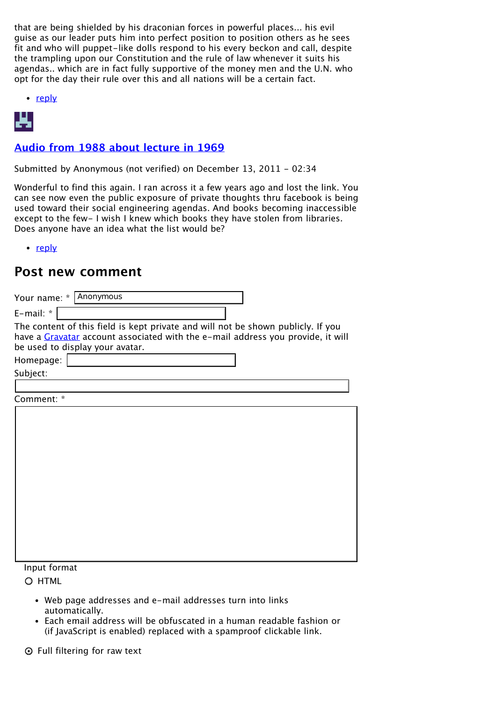that are being shielded by his draconian forces in powerful places... his evil guise as our leader puts him into perfect position to position others as he sees fit and who will puppet-like dolls respond to his every beckon and call, despite the trampling upon our Constitution and the rule of law whenever it suits his agendas.. which are in fact fully supportive of the money men and the U.N. who opt for the day their rule over this and all nations will be a certain fact.

• [reply](file:///comment/reply/19/7206)



# **[Audio from 1988 about lecture in 1969](file:///nwo/barbarians#comment-7266)**

Submitted by Anonymous (not verified) on December 13, 2011 - 02:34

Wonderful to find this again. I ran across it a few years ago and lost the link. You can see now even the public exposure of private thoughts thru facebook is being used toward their social engineering agendas. And books becoming inaccessible except to the few- I wish I knew which books they have stolen from libraries. Does anyone have an idea what the list would be?

• [reply](file:///comment/reply/19/7266)

# **Post new comment**

| Anonymous<br>Your name: *<br>E-mail: *<br>The content of this field is kept private and will not be shown publicly. If you<br>have a <i>Gravatar</i> account associated with the e-mail address you provide, it will |
|----------------------------------------------------------------------------------------------------------------------------------------------------------------------------------------------------------------------|
|                                                                                                                                                                                                                      |
|                                                                                                                                                                                                                      |
|                                                                                                                                                                                                                      |
|                                                                                                                                                                                                                      |
| be used to display your avatar.                                                                                                                                                                                      |
| Homepage:                                                                                                                                                                                                            |
| Subject:                                                                                                                                                                                                             |
|                                                                                                                                                                                                                      |
| Comment: *                                                                                                                                                                                                           |
|                                                                                                                                                                                                                      |
|                                                                                                                                                                                                                      |
|                                                                                                                                                                                                                      |
|                                                                                                                                                                                                                      |
|                                                                                                                                                                                                                      |
|                                                                                                                                                                                                                      |
|                                                                                                                                                                                                                      |
|                                                                                                                                                                                                                      |
|                                                                                                                                                                                                                      |
|                                                                                                                                                                                                                      |
|                                                                                                                                                                                                                      |
|                                                                                                                                                                                                                      |
| Input format                                                                                                                                                                                                         |

 $O$  HTML

- Web page addresses and e-mail addresses turn into links automatically.
- Each email address will be obfuscated in a human readable fashion or (if JavaScript is enabled) replaced with a spamproof clickable link.